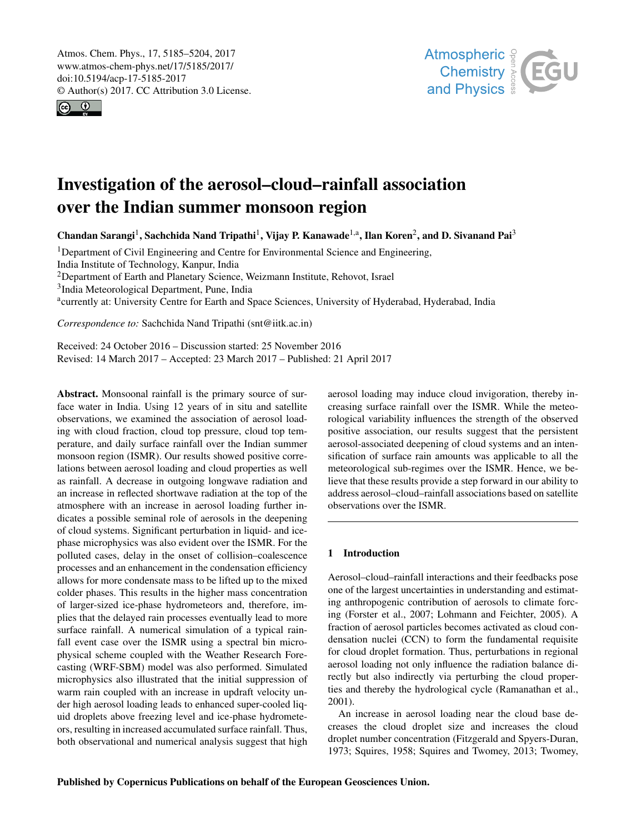Atmos. Chem. Phys., 17, 5185–5204, 2017 www.atmos-chem-phys.net/17/5185/2017/ doi:10.5194/acp-17-5185-2017 © Author(s) 2017. CC Attribution 3.0 License.





# Investigation of the aerosol–cloud–rainfall association over the Indian summer monsoon region

Chandan Sarangi<sup>1</sup>, Sachchida Nand Tripathi<sup>1</sup>, Vijay P. Kanawade<sup>1,a</sup>, Ilan Koren<sup>2</sup>, and D. Sivanand Pai<sup>3</sup>

<sup>1</sup>Department of Civil Engineering and Centre for Environmental Science and Engineering, India Institute of Technology, Kanpur, India <sup>2</sup>Department of Earth and Planetary Science, Weizmann Institute, Rehovot, Israel 3 India Meteorological Department, Pune, India acurrently at: University Centre for Earth and Space Sciences, University of Hyderabad, Hyderabad, India

*Correspondence to:* Sachchida Nand Tripathi (snt@iitk.ac.in)

Received: 24 October 2016 – Discussion started: 25 November 2016 Revised: 14 March 2017 – Accepted: 23 March 2017 – Published: 21 April 2017

Abstract. Monsoonal rainfall is the primary source of surface water in India. Using 12 years of in situ and satellite observations, we examined the association of aerosol loading with cloud fraction, cloud top pressure, cloud top temperature, and daily surface rainfall over the Indian summer monsoon region (ISMR). Our results showed positive correlations between aerosol loading and cloud properties as well as rainfall. A decrease in outgoing longwave radiation and an increase in reflected shortwave radiation at the top of the atmosphere with an increase in aerosol loading further indicates a possible seminal role of aerosols in the deepening of cloud systems. Significant perturbation in liquid- and icephase microphysics was also evident over the ISMR. For the polluted cases, delay in the onset of collision–coalescence processes and an enhancement in the condensation efficiency allows for more condensate mass to be lifted up to the mixed colder phases. This results in the higher mass concentration of larger-sized ice-phase hydrometeors and, therefore, implies that the delayed rain processes eventually lead to more surface rainfall. A numerical simulation of a typical rainfall event case over the ISMR using a spectral bin microphysical scheme coupled with the Weather Research Forecasting (WRF-SBM) model was also performed. Simulated microphysics also illustrated that the initial suppression of warm rain coupled with an increase in updraft velocity under high aerosol loading leads to enhanced super-cooled liquid droplets above freezing level and ice-phase hydrometeors, resulting in increased accumulated surface rainfall. Thus, both observational and numerical analysis suggest that high

aerosol loading may induce cloud invigoration, thereby increasing surface rainfall over the ISMR. While the meteorological variability influences the strength of the observed positive association, our results suggest that the persistent aerosol-associated deepening of cloud systems and an intensification of surface rain amounts was applicable to all the meteorological sub-regimes over the ISMR. Hence, we believe that these results provide a step forward in our ability to address aerosol–cloud–rainfall associations based on satellite observations over the ISMR.

# 1 Introduction

Aerosol–cloud–rainfall interactions and their feedbacks pose one of the largest uncertainties in understanding and estimating anthropogenic contribution of aerosols to climate forcing (Forster et al., 2007; Lohmann and Feichter, 2005). A fraction of aerosol particles becomes activated as cloud condensation nuclei (CCN) to form the fundamental requisite for cloud droplet formation. Thus, perturbations in regional aerosol loading not only influence the radiation balance directly but also indirectly via perturbing the cloud properties and thereby the hydrological cycle (Ramanathan et al., 2001).

An increase in aerosol loading near the cloud base decreases the cloud droplet size and increases the cloud droplet number concentration (Fitzgerald and Spyers-Duran, 1973; Squires, 1958; Squires and Twomey, 2013; Twomey,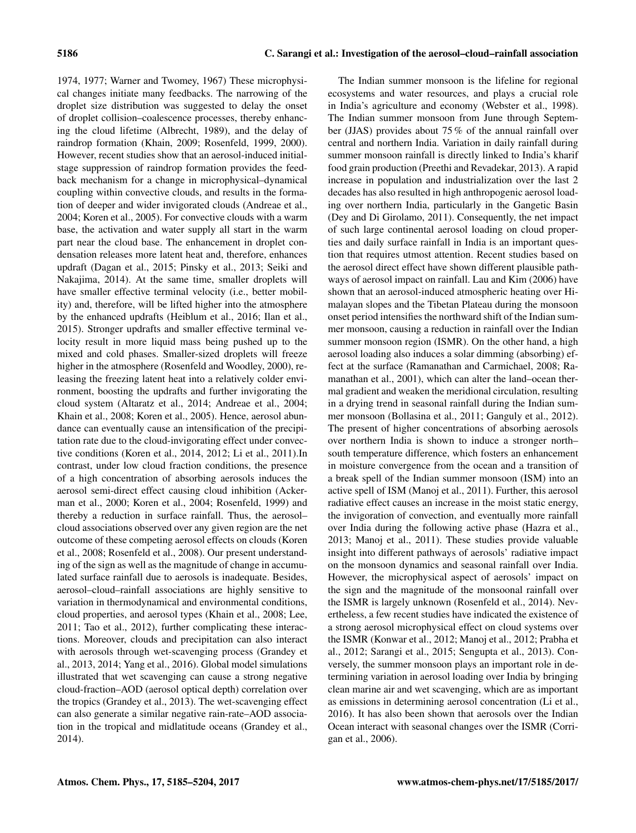1974, 1977; Warner and Twomey, 1967) These microphysical changes initiate many feedbacks. The narrowing of the droplet size distribution was suggested to delay the onset of droplet collision–coalescence processes, thereby enhancing the cloud lifetime (Albrecht, 1989), and the delay of raindrop formation (Khain, 2009; Rosenfeld, 1999, 2000). However, recent studies show that an aerosol-induced initialstage suppression of raindrop formation provides the feedback mechanism for a change in microphysical–dynamical coupling within convective clouds, and results in the formation of deeper and wider invigorated clouds (Andreae et al., 2004; Koren et al., 2005). For convective clouds with a warm base, the activation and water supply all start in the warm part near the cloud base. The enhancement in droplet condensation releases more latent heat and, therefore, enhances updraft (Dagan et al., 2015; Pinsky et al., 2013; Seiki and Nakajima, 2014). At the same time, smaller droplets will have smaller effective terminal velocity (i.e., better mobility) and, therefore, will be lifted higher into the atmosphere by the enhanced updrafts (Heiblum et al., 2016; Ilan et al., 2015). Stronger updrafts and smaller effective terminal velocity result in more liquid mass being pushed up to the mixed and cold phases. Smaller-sized droplets will freeze higher in the atmosphere (Rosenfeld and Woodley, 2000), releasing the freezing latent heat into a relatively colder environment, boosting the updrafts and further invigorating the cloud system (Altaratz et al., 2014; Andreae et al., 2004; Khain et al., 2008; Koren et al., 2005). Hence, aerosol abundance can eventually cause an intensification of the precipitation rate due to the cloud-invigorating effect under convective conditions (Koren et al., 2014, 2012; Li et al., 2011).In contrast, under low cloud fraction conditions, the presence of a high concentration of absorbing aerosols induces the aerosol semi-direct effect causing cloud inhibition (Ackerman et al., 2000; Koren et al., 2004; Rosenfeld, 1999) and thereby a reduction in surface rainfall. Thus, the aerosol– cloud associations observed over any given region are the net outcome of these competing aerosol effects on clouds (Koren et al., 2008; Rosenfeld et al., 2008). Our present understanding of the sign as well as the magnitude of change in accumulated surface rainfall due to aerosols is inadequate. Besides, aerosol–cloud–rainfall associations are highly sensitive to variation in thermodynamical and environmental conditions, cloud properties, and aerosol types (Khain et al., 2008; Lee, 2011; Tao et al., 2012), further complicating these interactions. Moreover, clouds and precipitation can also interact with aerosols through wet-scavenging process (Grandey et al., 2013, 2014; Yang et al., 2016). Global model simulations illustrated that wet scavenging can cause a strong negative cloud-fraction–AOD (aerosol optical depth) correlation over the tropics (Grandey et al., 2013). The wet-scavenging effect can also generate a similar negative rain-rate–AOD association in the tropical and midlatitude oceans (Grandey et al., 2014).

The Indian summer monsoon is the lifeline for regional ecosystems and water resources, and plays a crucial role in India's agriculture and economy (Webster et al., 1998). The Indian summer monsoon from June through September (JJAS) provides about 75 % of the annual rainfall over central and northern India. Variation in daily rainfall during summer monsoon rainfall is directly linked to India's kharif food grain production (Preethi and Revadekar, 2013). A rapid increase in population and industrialization over the last 2 decades has also resulted in high anthropogenic aerosol loading over northern India, particularly in the Gangetic Basin (Dey and Di Girolamo, 2011). Consequently, the net impact of such large continental aerosol loading on cloud properties and daily surface rainfall in India is an important question that requires utmost attention. Recent studies based on the aerosol direct effect have shown different plausible pathways of aerosol impact on rainfall. Lau and Kim (2006) have shown that an aerosol-induced atmospheric heating over Himalayan slopes and the Tibetan Plateau during the monsoon onset period intensifies the northward shift of the Indian summer monsoon, causing a reduction in rainfall over the Indian summer monsoon region (ISMR). On the other hand, a high aerosol loading also induces a solar dimming (absorbing) effect at the surface (Ramanathan and Carmichael, 2008; Ramanathan et al., 2001), which can alter the land–ocean thermal gradient and weaken the meridional circulation, resulting in a drying trend in seasonal rainfall during the Indian summer monsoon (Bollasina et al., 2011; Ganguly et al., 2012). The present of higher concentrations of absorbing aerosols over northern India is shown to induce a stronger north– south temperature difference, which fosters an enhancement in moisture convergence from the ocean and a transition of a break spell of the Indian summer monsoon (ISM) into an active spell of ISM (Manoj et al., 2011). Further, this aerosol radiative effect causes an increase in the moist static energy, the invigoration of convection, and eventually more rainfall over India during the following active phase (Hazra et al., 2013; Manoj et al., 2011). These studies provide valuable insight into different pathways of aerosols' radiative impact on the monsoon dynamics and seasonal rainfall over India. However, the microphysical aspect of aerosols' impact on the sign and the magnitude of the monsoonal rainfall over the ISMR is largely unknown (Rosenfeld et al., 2014). Nevertheless, a few recent studies have indicated the existence of a strong aerosol microphysical effect on cloud systems over the ISMR (Konwar et al., 2012; Manoj et al., 2012; Prabha et al., 2012; Sarangi et al., 2015; Sengupta et al., 2013). Conversely, the summer monsoon plays an important role in determining variation in aerosol loading over India by bringing clean marine air and wet scavenging, which are as important as emissions in determining aerosol concentration (Li et al., 2016). It has also been shown that aerosols over the Indian Ocean interact with seasonal changes over the ISMR (Corrigan et al., 2006).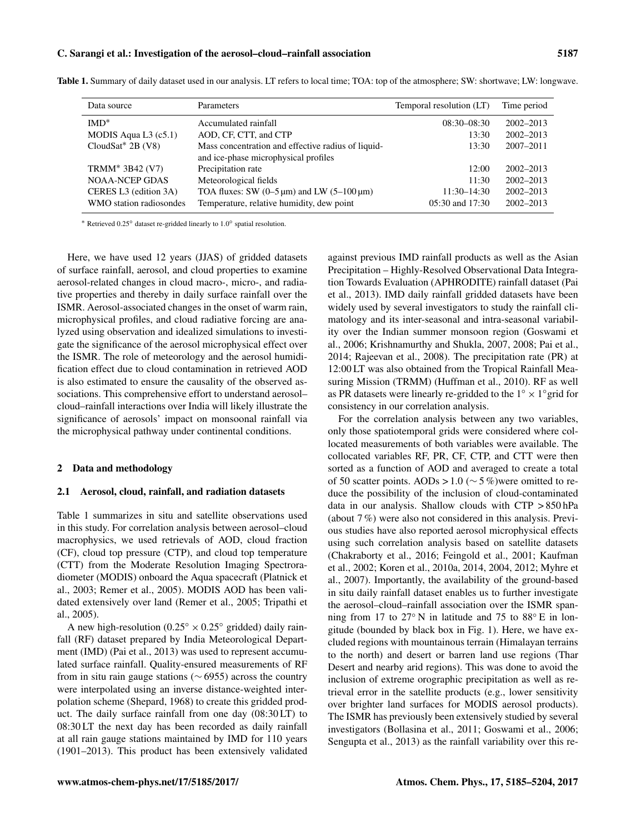| Data source             | <b>Parameters</b>                                   | Temporal resolution (LT) | Time period   |
|-------------------------|-----------------------------------------------------|--------------------------|---------------|
| $IMD^*$                 | Accumulated rainfall                                | $08:30 - 08:30$          | 2002-2013     |
| MODIS Aqua $L3$ (c5.1)  | AOD, CF, CTT, and CTP                               | 13:30                    | $2002 - 2013$ |
| CloudSat $*$ 2B (V8)    | Mass concentration and effective radius of liquid-  | 13:30                    | $2007 - 2011$ |
|                         | and ice-phase microphysical profiles                |                          |               |
| TRMM* 3B42 (V7)         | Precipitation rate                                  | 12:00                    | 2002-2013     |
| <b>NOAA-NCEP GDAS</b>   | Meteorological fields                               | 11:30                    | $2002 - 2013$ |
| CERES L3 (edition 3A)   | TOA fluxes: SW $(0-5 \mu m)$ and LW $(5-100 \mu m)$ | $11:30 - 14:30$          | $2002 - 2013$ |
| WMO station radiosondes | Temperature, relative humidity, dew point           | 05:30 and 17:30          | $2002 - 2013$ |

Table 1. Summary of daily dataset used in our analysis. LT refers to local time; TOA: top of the atmosphere; SW: shortwave; LW: longwave.

<sup>∗</sup> Retrieved 0.25◦ dataset re-gridded linearly to 1.0◦ spatial resolution.

Here, we have used 12 years (JJAS) of gridded datasets of surface rainfall, aerosol, and cloud properties to examine aerosol-related changes in cloud macro-, micro-, and radiative properties and thereby in daily surface rainfall over the ISMR. Aerosol-associated changes in the onset of warm rain, microphysical profiles, and cloud radiative forcing are analyzed using observation and idealized simulations to investigate the significance of the aerosol microphysical effect over the ISMR. The role of meteorology and the aerosol humidification effect due to cloud contamination in retrieved AOD is also estimated to ensure the causality of the observed associations. This comprehensive effort to understand aerosol– cloud–rainfall interactions over India will likely illustrate the significance of aerosols' impact on monsoonal rainfall via the microphysical pathway under continental conditions.

#### 2 Data and methodology

#### 2.1 Aerosol, cloud, rainfall, and radiation datasets

Table 1 summarizes in situ and satellite observations used in this study. For correlation analysis between aerosol–cloud macrophysics, we used retrievals of AOD, cloud fraction (CF), cloud top pressure (CTP), and cloud top temperature (CTT) from the Moderate Resolution Imaging Spectroradiometer (MODIS) onboard the Aqua spacecraft (Platnick et al., 2003; Remer et al., 2005). MODIS AOD has been validated extensively over land (Remer et al., 2005; Tripathi et al., 2005).

A new high-resolution ( $0.25° \times 0.25°$  gridded) daily rainfall (RF) dataset prepared by India Meteorological Department (IMD) (Pai et al., 2013) was used to represent accumulated surface rainfall. Quality-ensured measurements of RF from in situ rain gauge stations ( $\sim$  6955) across the country were interpolated using an inverse distance-weighted interpolation scheme (Shepard, 1968) to create this gridded product. The daily surface rainfall from one day (08:30 LT) to 08:30 LT the next day has been recorded as daily rainfall at all rain gauge stations maintained by IMD for 110 years (1901–2013). This product has been extensively validated

against previous IMD rainfall products as well as the Asian Precipitation – Highly-Resolved Observational Data Integration Towards Evaluation (APHRODITE) rainfall dataset (Pai et al., 2013). IMD daily rainfall gridded datasets have been widely used by several investigators to study the rainfall climatology and its inter-seasonal and intra-seasonal variability over the Indian summer monsoon region (Goswami et al., 2006; Krishnamurthy and Shukla, 2007, 2008; Pai et al., 2014; Rajeevan et al., 2008). The precipitation rate (PR) at 12:00 LT was also obtained from the Tropical Rainfall Measuring Mission (TRMM) (Huffman et al., 2010). RF as well as PR datasets were linearly re-gridded to the  $1° \times 1°$  grid for consistency in our correlation analysis.

For the correlation analysis between any two variables, only those spatiotemporal grids were considered where collocated measurements of both variables were available. The collocated variables RF, PR, CF, CTP, and CTT were then sorted as a function of AOD and averaged to create a total of 50 scatter points. AODs > 1.0 ( $\sim$  5%) were omitted to reduce the possibility of the inclusion of cloud-contaminated data in our analysis. Shallow clouds with CTP > 850 hPa (about 7 %) were also not considered in this analysis. Previous studies have also reported aerosol microphysical effects using such correlation analysis based on satellite datasets (Chakraborty et al., 2016; Feingold et al., 2001; Kaufman et al., 2002; Koren et al., 2010a, 2014, 2004, 2012; Myhre et al., 2007). Importantly, the availability of the ground-based in situ daily rainfall dataset enables us to further investigate the aerosol–cloud–rainfall association over the ISMR spanning from 17 to 27◦ N in latitude and 75 to 88◦ E in longitude (bounded by black box in Fig. 1). Here, we have excluded regions with mountainous terrain (Himalayan terrains to the north) and desert or barren land use regions (Thar Desert and nearby arid regions). This was done to avoid the inclusion of extreme orographic precipitation as well as retrieval error in the satellite products (e.g., lower sensitivity over brighter land surfaces for MODIS aerosol products). The ISMR has previously been extensively studied by several investigators (Bollasina et al., 2011; Goswami et al., 2006; Sengupta et al., 2013) as the rainfall variability over this re-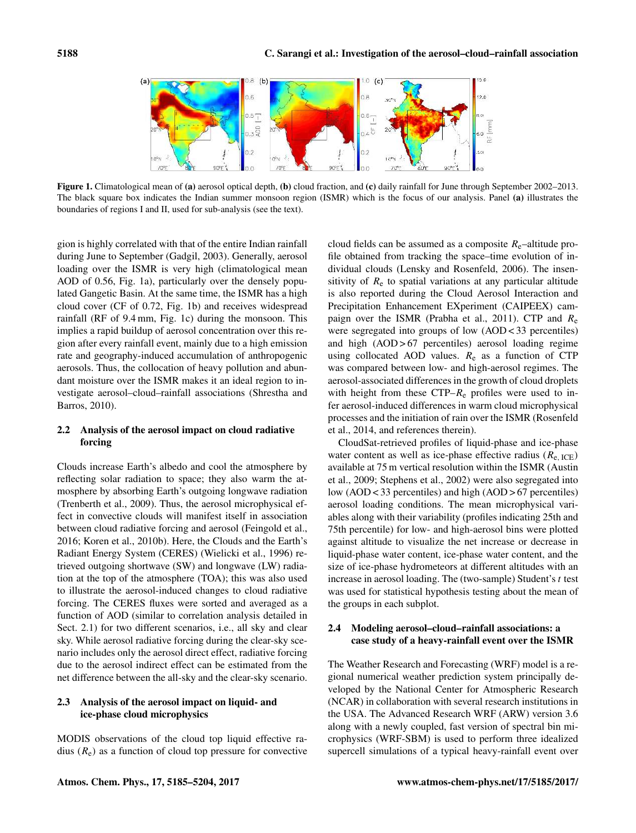

Figure 1. Climatological mean of (a) aerosol optical depth, (b) cloud fraction, and (c) daily rainfall for June through September 2002–2013. The black square box indicates the Indian summer monsoon region (ISMR) which is the focus of our analysis. Panel (a) illustrates the boundaries of regions I and II, used for sub-analysis (see the text).

gion is highly correlated with that of the entire Indian rainfall during June to September (Gadgil, 2003). Generally, aerosol loading over the ISMR is very high (climatological mean AOD of 0.56, Fig. 1a), particularly over the densely populated Gangetic Basin. At the same time, the ISMR has a high cloud cover (CF of 0.72, Fig. 1b) and receives widespread rainfall (RF of 9.4 mm, Fig. 1c) during the monsoon. This implies a rapid buildup of aerosol concentration over this region after every rainfall event, mainly due to a high emission rate and geography-induced accumulation of anthropogenic aerosols. Thus, the collocation of heavy pollution and abundant moisture over the ISMR makes it an ideal region to investigate aerosol–cloud–rainfall associations (Shrestha and Barros, 2010).

# 2.2 Analysis of the aerosol impact on cloud radiative forcing

Clouds increase Earth's albedo and cool the atmosphere by reflecting solar radiation to space; they also warm the atmosphere by absorbing Earth's outgoing longwave radiation (Trenberth et al., 2009). Thus, the aerosol microphysical effect in convective clouds will manifest itself in association between cloud radiative forcing and aerosol (Feingold et al., 2016; Koren et al., 2010b). Here, the Clouds and the Earth's Radiant Energy System (CERES) (Wielicki et al., 1996) retrieved outgoing shortwave (SW) and longwave (LW) radiation at the top of the atmosphere (TOA); this was also used to illustrate the aerosol-induced changes to cloud radiative forcing. The CERES fluxes were sorted and averaged as a function of AOD (similar to correlation analysis detailed in Sect. 2.1) for two different scenarios, i.e., all sky and clear sky. While aerosol radiative forcing during the clear-sky scenario includes only the aerosol direct effect, radiative forcing due to the aerosol indirect effect can be estimated from the net difference between the all-sky and the clear-sky scenario.

# 2.3 Analysis of the aerosol impact on liquid- and ice-phase cloud microphysics

MODIS observations of the cloud top liquid effective radius  $(R_e)$  as a function of cloud top pressure for convective cloud fields can be assumed as a composite  $R_{e}$ –altitude profile obtained from tracking the space–time evolution of individual clouds (Lensky and Rosenfeld, 2006). The insensitivity of  $R_e$  to spatial variations at any particular altitude is also reported during the Cloud Aerosol Interaction and Precipitation Enhancement EXperiment (CAIPEEX) campaign over the ISMR (Prabha et al., 2011). CTP and  $R_e$ were segregated into groups of low (AOD < 33 percentiles) and high (AOD > 67 percentiles) aerosol loading regime using collocated AOD values.  $R_e$  as a function of CTP was compared between low- and high-aerosol regimes. The aerosol-associated differences in the growth of cloud droplets with height from these  $CTP-R_e$  profiles were used to infer aerosol-induced differences in warm cloud microphysical processes and the initiation of rain over the ISMR (Rosenfeld et al., 2014, and references therein).

CloudSat-retrieved profiles of liquid-phase and ice-phase water content as well as ice-phase effective radius  $(R_{e,ICE})$ available at 75 m vertical resolution within the ISMR (Austin et al., 2009; Stephens et al., 2002) were also segregated into low (AOD < 33 percentiles) and high (AOD > 67 percentiles) aerosol loading conditions. The mean microphysical variables along with their variability (profiles indicating 25th and 75th percentile) for low- and high-aerosol bins were plotted against altitude to visualize the net increase or decrease in liquid-phase water content, ice-phase water content, and the size of ice-phase hydrometeors at different altitudes with an increase in aerosol loading. The (two-sample) Student's t test was used for statistical hypothesis testing about the mean of the groups in each subplot.

## 2.4 Modeling aerosol–cloud–rainfall associations: a case study of a heavy-rainfall event over the ISMR

The Weather Research and Forecasting (WRF) model is a regional numerical weather prediction system principally developed by the National Center for Atmospheric Research (NCAR) in collaboration with several research institutions in the USA. The Advanced Research WRF (ARW) version 3.6 along with a newly coupled, fast version of spectral bin microphysics (WRF-SBM) is used to perform three idealized supercell simulations of a typical heavy-rainfall event over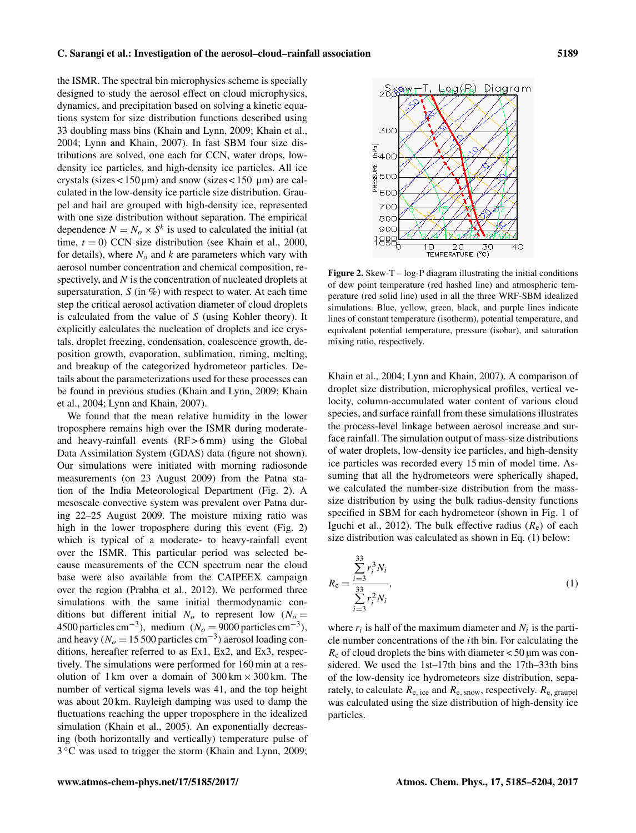#### C. Sarangi et al.: Investigation of the aerosol–cloud–rainfall association 5189

the ISMR. The spectral bin microphysics scheme is specially designed to study the aerosol effect on cloud microphysics, dynamics, and precipitation based on solving a kinetic equations system for size distribution functions described using 33 doubling mass bins (Khain and Lynn, 2009; Khain et al., 2004; Lynn and Khain, 2007). In fast SBM four size distributions are solved, one each for CCN, water drops, lowdensity ice particles, and high-density ice particles. All ice crystals (sizes  $< 150 \text{ µm}$ ) and snow (sizes  $< 150 \text{ µm}$ ) are calculated in the low-density ice particle size distribution. Graupel and hail are grouped with high-density ice, represented with one size distribution without separation. The empirical dependence  $N = N_o \times S^k$  is used to calculated the initial (at time,  $t = 0$ ) CCN size distribution (see Khain et al., 2000, for details), where  $N<sub>o</sub>$  and k are parameters which vary with aerosol number concentration and chemical composition, respectively, and N is the concentration of nucleated droplets at supersaturation,  $S$  (in  $\%$ ) with respect to water. At each time step the critical aerosol activation diameter of cloud droplets is calculated from the value of S (using Kohler theory). It explicitly calculates the nucleation of droplets and ice crystals, droplet freezing, condensation, coalescence growth, deposition growth, evaporation, sublimation, riming, melting, and breakup of the categorized hydrometeor particles. Details about the parameterizations used for these processes can be found in previous studies (Khain and Lynn, 2009; Khain et al., 2004; Lynn and Khain, 2007).

We found that the mean relative humidity in the lower troposphere remains high over the ISMR during moderateand heavy-rainfall events  $(RF > 6 \text{ mm})$  using the Global Data Assimilation System (GDAS) data (figure not shown). Our simulations were initiated with morning radiosonde measurements (on 23 August 2009) from the Patna station of the India Meteorological Department (Fig. 2). A mesoscale convective system was prevalent over Patna during 22–25 August 2009. The moisture mixing ratio was high in the lower troposphere during this event (Fig. 2) which is typical of a moderate- to heavy-rainfall event over the ISMR. This particular period was selected because measurements of the CCN spectrum near the cloud base were also available from the CAIPEEX campaign over the region (Prabha et al., 2012). We performed three simulations with the same initial thermodynamic conditions but different initial  $N<sub>o</sub>$  to represent low  $(N<sub>o</sub> =$ 4500 particles cm<sup>-3</sup>), medium ( $N_o = 9000$  particles cm<sup>-3</sup>), and heavy ( $N<sub>o</sub> = 15500$  particles cm<sup>-3</sup>) aerosol loading conditions, hereafter referred to as Ex1, Ex2, and Ex3, respectively. The simulations were performed for 160 min at a resolution of 1 km over a domain of  $300 \text{ km} \times 300 \text{ km}$ . The number of vertical sigma levels was 41, and the top height was about 20 km. Rayleigh damping was used to damp the fluctuations reaching the upper troposphere in the idealized simulation (Khain et al., 2005). An exponentially decreasing (both horizontally and vertically) temperature pulse of 3 ◦C was used to trigger the storm (Khain and Lynn, 2009;



**Figure 2.** Skew-T  $-$  log-P diagram illustrating the initial conditions of dew point temperature (red hashed line) and atmospheric temperature (red solid line) used in all the three WRF-SBM idealized simulations. Blue, yellow, green, black, and purple lines indicate lines of constant temperature (isotherm), potential temperature, and equivalent potential temperature, pressure (isobar), and saturation mixing ratio, respectively.

Khain et al., 2004; Lynn and Khain, 2007). A comparison of droplet size distribution, microphysical profiles, vertical velocity, column-accumulated water content of various cloud species, and surface rainfall from these simulations illustrates the process-level linkage between aerosol increase and surface rainfall. The simulation output of mass-size distributions of water droplets, low-density ice particles, and high-density ice particles was recorded every 15 min of model time. Assuming that all the hydrometeors were spherically shaped, we calculated the number-size distribution from the masssize distribution by using the bulk radius-density functions specified in SBM for each hydrometeor (shown in Fig. 1 of Iguchi et al., 2012). The bulk effective radius  $(R_e)$  of each size distribution was calculated as shown in Eq. (1) below:

$$
R_{\rm e} = \frac{\sum_{i=3}^{33} r_i^3 N_i}{\sum_{i=3}^{33} r_i^2 N_i},\tag{1}
$$

where  $r_i$  is half of the maximum diameter and  $N_i$  is the particle number concentrations of the  $i$ th bin. For calculating the  $R_{\rm e}$  of cloud droplets the bins with diameter  $< 50 \,\mu{\rm m}$  was considered. We used the 1st–17th bins and the 17th–33th bins of the low-density ice hydrometeors size distribution, separately, to calculate  $R_{e,ice}$  and  $R_{e, snow}$ , respectively.  $R_{e, gravpel}$ was calculated using the size distribution of high-density ice particles.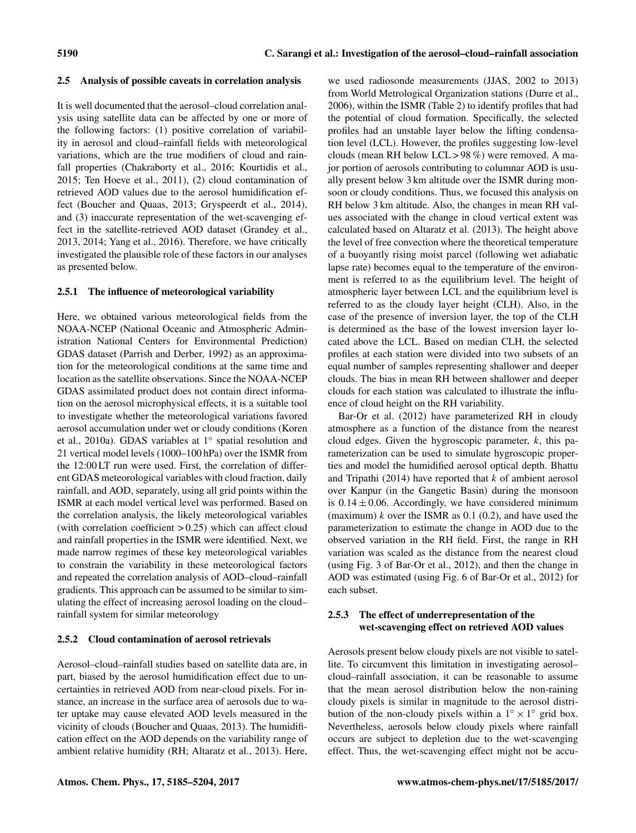## 2.5 Analysis of possible caveats in correlation analysis

It is well documented that the aerosol–cloud correlation analysis using satellite data can be affected by one or more of the following factors: (1) positive correlation of variability in aerosol and cloud–rainfall fields with meteorological variations, which are the true modifiers of cloud and rainfall properties (Chakraborty et al., 2016; Kourtidis et al., 2015; Ten Hoeve et al., 2011), (2) cloud contamination of retrieved AOD values due to the aerosol humidification effect (Boucher and Quaas, 2013; Gryspeerdt et al., 2014), and (3) inaccurate representation of the wet-scavenging effect in the satellite-retrieved AOD dataset (Grandey et al., 2013, 2014; Yang et al., 2016). Therefore, we have critically investigated the plausible role of these factors in our analyses as presented below.

# 2.5.1 The influence of meteorological variability

Here, we obtained various meteorological fields from the NOAA-NCEP (National Oceanic and Atmospheric Administration National Centers for Environmental Prediction) GDAS dataset (Parrish and Derber, 1992) as an approximation for the meteorological conditions at the same time and location as the satellite observations. Since the NOAA-NCEP GDAS assimilated product does not contain direct information on the aerosol microphysical effects, it is a suitable tool to investigate whether the meteorological variations favored aerosol accumulation under wet or cloudy conditions (Koren et al., 2010a). GDAS variables at 1◦ spatial resolution and 21 vertical model levels (1000–100 hPa) over the ISMR from the 12:00 LT run were used. First, the correlation of different GDAS meteorological variables with cloud fraction, daily rainfall, and AOD, separately, using all grid points within the ISMR at each model vertical level was performed. Based on the correlation analysis, the likely meteorological variables (with correlation coefficient  $> 0.25$ ) which can affect cloud and rainfall properties in the ISMR were identified. Next, we made narrow regimes of these key meteorological variables to constrain the variability in these meteorological factors and repeated the correlation analysis of AOD–cloud–rainfall gradients. This approach can be assumed to be similar to simulating the effect of increasing aerosol loading on the cloud– rainfall system for similar meteorology

# 2.5.2 Cloud contamination of aerosol retrievals

Aerosol–cloud–rainfall studies based on satellite data are, in part, biased by the aerosol humidification effect due to uncertainties in retrieved AOD from near-cloud pixels. For instance, an increase in the surface area of aerosols due to water uptake may cause elevated AOD levels measured in the vicinity of clouds (Boucher and Quaas, 2013). The humidification effect on the AOD depends on the variability range of ambient relative humidity (RH; Altaratz et al., 2013). Here, we used radiosonde measurements (JJAS, 2002 to 2013) from World Metrological Organization stations (Durre et al., 2006), within the ISMR (Table 2) to identify profiles that had the potential of cloud formation. Specifically, the selected profiles had an unstable layer below the lifting condensation level (LCL). However, the profiles suggesting low-level clouds (mean RH below LCL > 98 %) were removed. A major portion of aerosols contributing to columnar AOD is usually present below 3 km altitude over the ISMR during monsoon or cloudy conditions. Thus, we focused this analysis on RH below 3 km altitude. Also, the changes in mean RH values associated with the change in cloud vertical extent was calculated based on Altaratz et al. (2013). The height above the level of free convection where the theoretical temperature of a buoyantly rising moist parcel (following wet adiabatic lapse rate) becomes equal to the temperature of the environment is referred to as the equilibrium level. The height of atmospheric layer between LCL and the equilibrium level is referred to as the cloudy layer height (CLH). Also, in the case of the presence of inversion layer, the top of the CLH is determined as the base of the lowest inversion layer located above the LCL. Based on median CLH, the selected profiles at each station were divided into two subsets of an equal number of samples representing shallower and deeper clouds. The bias in mean RH between shallower and deeper clouds for each station was calculated to illustrate the influence of cloud height on the RH variability.

Bar-Or et al. (2012) have parameterized RH in cloudy atmosphere as a function of the distance from the nearest cloud edges. Given the hygroscopic parameter,  $k$ , this parameterization can be used to simulate hygroscopic properties and model the humidified aerosol optical depth. Bhattu and Tripathi  $(2014)$  have reported that k of ambient aerosol over Kanpur (in the Gangetic Basin) during the monsoon is  $0.14 \pm 0.06$ . Accordingly, we have considered minimum (maximum)  $k$  over the ISMR as 0.1 (0.2), and have used the parameterization to estimate the change in AOD due to the observed variation in the RH field. First, the range in RH variation was scaled as the distance from the nearest cloud (using Fig. 3 of Bar-Or et al., 2012), and then the change in AOD was estimated (using Fig. 6 of Bar-Or et al., 2012) for each subset.

# 2.5.3 The effect of underrepresentation of the wet-scavenging effect on retrieved AOD values

Aerosols present below cloudy pixels are not visible to satellite. To circumvent this limitation in investigating aerosol– cloud–rainfall association, it can be reasonable to assume that the mean aerosol distribution below the non-raining cloudy pixels is similar in magnitude to the aerosol distribution of the non-cloudy pixels within a  $1^\circ \times 1^\circ$  grid box. Nevertheless, aerosols below cloudy pixels where rainfall occurs are subject to depletion due to the wet-scavenging effect. Thus, the wet-scavenging effect might not be accu-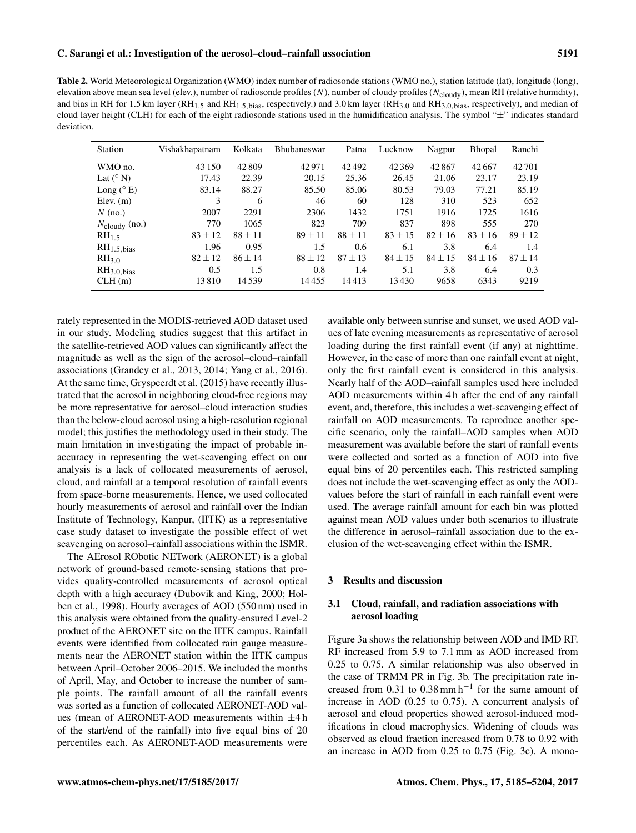Table 2. World Meteorological Organization (WMO) index number of radiosonde stations (WMO no.), station latitude (lat), longitude (long), elevation above mean sea level (elev.), number of radiosonde profiles (N), number of cloudy profiles ( $N_{\text{cloudy}}$ ), mean RH (relative humidity), and bias in RH for 1.5 km layer (RH<sub>1.5</sub> and RH<sub>1.5,bias</sub>, respectively.) and 3.0 km layer (RH<sub>3.0</sub> and RH<sub>3.0,bias</sub>, respectively), and median of cloud layer height (CLH) for each of the eight radiosonde stations used in the humidification analysis. The symbol "±" indicates standard deviation.

| Station                   | Vishakhapatnam | Kolkata     | Bhubaneswar | Patna       | Lucknow     | Nagpur      | <b>Bhopal</b> | Ranchi      |
|---------------------------|----------------|-------------|-------------|-------------|-------------|-------------|---------------|-------------|
| WMO no.                   | 43 150         | 42809       | 42971       | 42492       | 42369       | 42867       | 42667         | 42701       |
| Lat $(^{\circ}N)$         | 17.43          | 22.39       | 20.15       | 25.36       | 26.45       | 21.06       | 23.17         | 23.19       |
| Long $(^{\circ}E)$        | 83.14          | 88.27       | 85.50       | 85.06       | 80.53       | 79.03       | 77.21         | 85.19       |
| Elev. $(m)$               | 3              | 6           | 46          | 60          | 128         | 310         | 523           | 652         |
| $N$ (no.)                 | 2007           | 2291        | 2306        | 1432        | 1751        | 1916        | 1725          | 1616        |
| $N_{\text{cloudy}}$ (no.) | 770            | 1065        | 823         | 709         | 837         | 898         | 555           | 270         |
| $RH_{1.5}$                | $83 \pm 12$    | $88 \pm 11$ | $89 \pm 11$ | $88 \pm 11$ | $83 \pm 15$ | $82 \pm 16$ | $83 \pm 16$   | $89 \pm 12$ |
| $RH_{1.5, bias}$          | 1.96           | 0.95        | 1.5         | 0.6         | 6.1         | 3.8         | 6.4           | 1.4         |
| RH <sub>30</sub>          | $82 \pm 12$    | $86 \pm 14$ | $88 \pm 12$ | $87 \pm 13$ | $84 \pm 15$ | $84 \pm 15$ | $84 \pm 16$   | $87 \pm 14$ |
| $RH_{3.0, bias}$          | 0.5            | 1.5         | 0.8         | 1.4         | 5.1         | 3.8         | 6.4           | 0.3         |
| CLH(m)                    | 13810          | 14539       | 14455       | 14413       | 13430       | 9658        | 6343          | 9219        |

rately represented in the MODIS-retrieved AOD dataset used in our study. Modeling studies suggest that this artifact in the satellite-retrieved AOD values can significantly affect the magnitude as well as the sign of the aerosol–cloud–rainfall associations (Grandey et al., 2013, 2014; Yang et al., 2016). At the same time, Gryspeerdt et al. (2015) have recently illustrated that the aerosol in neighboring cloud-free regions may be more representative for aerosol–cloud interaction studies than the below-cloud aerosol using a high-resolution regional model; this justifies the methodology used in their study. The main limitation in investigating the impact of probable inaccuracy in representing the wet-scavenging effect on our analysis is a lack of collocated measurements of aerosol, cloud, and rainfall at a temporal resolution of rainfall events from space-borne measurements. Hence, we used collocated hourly measurements of aerosol and rainfall over the Indian Institute of Technology, Kanpur, (IITK) as a representative case study dataset to investigate the possible effect of wet scavenging on aerosol–rainfall associations within the ISMR.

The AErosol RObotic NETwork (AERONET) is a global network of ground-based remote-sensing stations that provides quality-controlled measurements of aerosol optical depth with a high accuracy (Dubovik and King, 2000; Holben et al., 1998). Hourly averages of AOD (550 nm) used in this analysis were obtained from the quality-ensured Level-2 product of the AERONET site on the IITK campus. Rainfall events were identified from collocated rain gauge measurements near the AERONET station within the IITK campus between April–October 2006–2015. We included the months of April, May, and October to increase the number of sample points. The rainfall amount of all the rainfall events was sorted as a function of collocated AERONET-AOD values (mean of AERONET-AOD measurements within ±4 h of the start/end of the rainfall) into five equal bins of 20 percentiles each. As AERONET-AOD measurements were available only between sunrise and sunset, we used AOD values of late evening measurements as representative of aerosol loading during the first rainfall event (if any) at nighttime. However, in the case of more than one rainfall event at night, only the first rainfall event is considered in this analysis. Nearly half of the AOD–rainfall samples used here included AOD measurements within 4 h after the end of any rainfall event, and, therefore, this includes a wet-scavenging effect of rainfall on AOD measurements. To reproduce another specific scenario, only the rainfall–AOD samples when AOD measurement was available before the start of rainfall events were collected and sorted as a function of AOD into five equal bins of 20 percentiles each. This restricted sampling does not include the wet-scavenging effect as only the AODvalues before the start of rainfall in each rainfall event were used. The average rainfall amount for each bin was plotted against mean AOD values under both scenarios to illustrate the difference in aerosol–rainfall association due to the exclusion of the wet-scavenging effect within the ISMR.

## 3 Results and discussion

#### 3.1 Cloud, rainfall, and radiation associations with aerosol loading

Figure 3a shows the relationship between AOD and IMD RF. RF increased from 5.9 to 7.1 mm as AOD increased from 0.25 to 0.75. A similar relationship was also observed in the case of TRMM PR in Fig. 3b. The precipitation rate increased from  $0.31$  to  $0.38$  mm h<sup>-1</sup> for the same amount of increase in AOD (0.25 to 0.75). A concurrent analysis of aerosol and cloud properties showed aerosol-induced modifications in cloud macrophysics. Widening of clouds was observed as cloud fraction increased from 0.78 to 0.92 with an increase in AOD from 0.25 to 0.75 (Fig. 3c). A mono-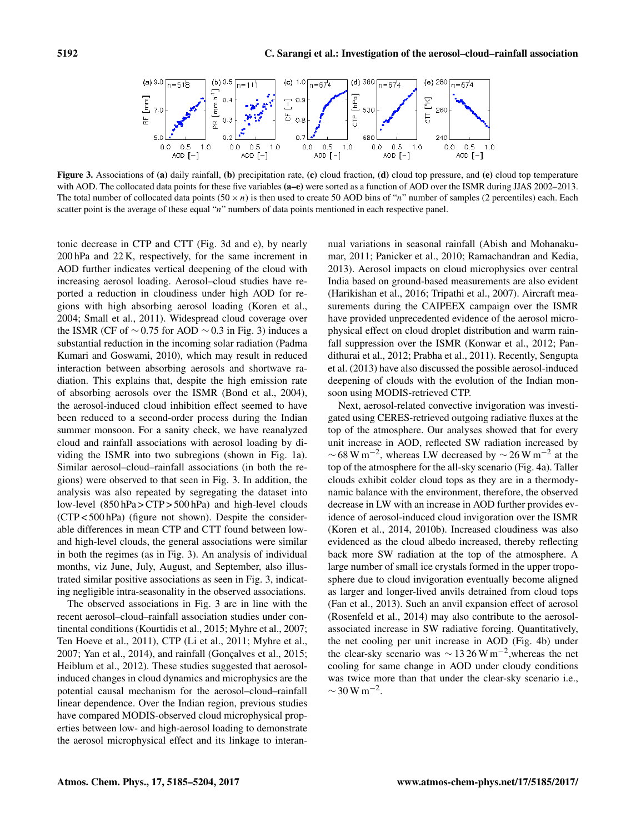

Figure 3. Associations of (a) daily rainfall, (b) precipitation rate, (c) cloud fraction, (d) cloud top pressure, and (e) cloud top temperature with AOD. The collocated data points for these five variables (a-e) were sorted as a function of AOD over the ISMR during JJAS 2002-2013. The total number of collocated data points  $(50 \times n)$  is then used to create 50 AOD bins of "n" number of samples (2 percentiles) each. Each scatter point is the average of these equal "n" numbers of data points mentioned in each respective panel.

tonic decrease in CTP and CTT (Fig. 3d and e), by nearly 200 hPa and 22 K, respectively, for the same increment in AOD further indicates vertical deepening of the cloud with increasing aerosol loading. Aerosol–cloud studies have reported a reduction in cloudiness under high AOD for regions with high absorbing aerosol loading (Koren et al., 2004; Small et al., 2011). Widespread cloud coverage over the ISMR (CF of  $\sim$  0.75 for AOD  $\sim$  0.3 in Fig. 3) induces a substantial reduction in the incoming solar radiation (Padma Kumari and Goswami, 2010), which may result in reduced interaction between absorbing aerosols and shortwave radiation. This explains that, despite the high emission rate of absorbing aerosols over the ISMR (Bond et al., 2004), the aerosol-induced cloud inhibition effect seemed to have been reduced to a second-order process during the Indian summer monsoon. For a sanity check, we have reanalyzed cloud and rainfall associations with aerosol loading by dividing the ISMR into two subregions (shown in Fig. 1a). Similar aerosol–cloud–rainfall associations (in both the regions) were observed to that seen in Fig. 3. In addition, the analysis was also repeated by segregating the dataset into low-level (850 hPa > CTP > 500 hPa) and high-level clouds (CTP < 500 hPa) (figure not shown). Despite the considerable differences in mean CTP and CTT found between lowand high-level clouds, the general associations were similar in both the regimes (as in Fig. 3). An analysis of individual months, viz June, July, August, and September, also illustrated similar positive associations as seen in Fig. 3, indicating negligible intra-seasonality in the observed associations.

The observed associations in Fig. 3 are in line with the recent aerosol–cloud–rainfall association studies under continental conditions (Kourtidis et al., 2015; Myhre et al., 2007; Ten Hoeve et al., 2011), CTP (Li et al., 2011; Myhre et al., 2007; Yan et al., 2014), and rainfall (Gonçalves et al., 2015; Heiblum et al., 2012). These studies suggested that aerosolinduced changes in cloud dynamics and microphysics are the potential causal mechanism for the aerosol–cloud–rainfall linear dependence. Over the Indian region, previous studies have compared MODIS-observed cloud microphysical properties between low- and high-aerosol loading to demonstrate the aerosol microphysical effect and its linkage to interannual variations in seasonal rainfall (Abish and Mohanakumar, 2011; Panicker et al., 2010; Ramachandran and Kedia, 2013). Aerosol impacts on cloud microphysics over central India based on ground-based measurements are also evident (Harikishan et al., 2016; Tripathi et al., 2007). Aircraft measurements during the CAIPEEX campaign over the ISMR have provided unprecedented evidence of the aerosol microphysical effect on cloud droplet distribution and warm rainfall suppression over the ISMR (Konwar et al., 2012; Pandithurai et al., 2012; Prabha et al., 2011). Recently, Sengupta et al. (2013) have also discussed the possible aerosol-induced deepening of clouds with the evolution of the Indian monsoon using MODIS-retrieved CTP.

Next, aerosol-related convective invigoration was investigated using CERES-retrieved outgoing radiative fluxes at the top of the atmosphere. Our analyses showed that for every unit increase in AOD, reflected SW radiation increased by  $\sim$  68 W m<sup>-2</sup>, whereas LW decreased by  $\sim$  26 W m<sup>-2</sup> at the top of the atmosphere for the all-sky scenario (Fig. 4a). Taller clouds exhibit colder cloud tops as they are in a thermodynamic balance with the environment, therefore, the observed decrease in LW with an increase in AOD further provides evidence of aerosol-induced cloud invigoration over the ISMR (Koren et al., 2014, 2010b). Increased cloudiness was also evidenced as the cloud albedo increased, thereby reflecting back more SW radiation at the top of the atmosphere. A large number of small ice crystals formed in the upper troposphere due to cloud invigoration eventually become aligned as larger and longer-lived anvils detrained from cloud tops (Fan et al., 2013). Such an anvil expansion effect of aerosol (Rosenfeld et al., 2014) may also contribute to the aerosolassociated increase in SW radiative forcing. Quantitatively, the net cooling per unit increase in AOD (Fig. 4b) under the clear-sky scenario was  $\sim$  13 26 W m<sup>-2</sup>, whereas the net cooling for same change in AOD under cloudy conditions was twice more than that under the clear-sky scenario i.e.,  $\sim$  30 W m<sup>-2</sup>.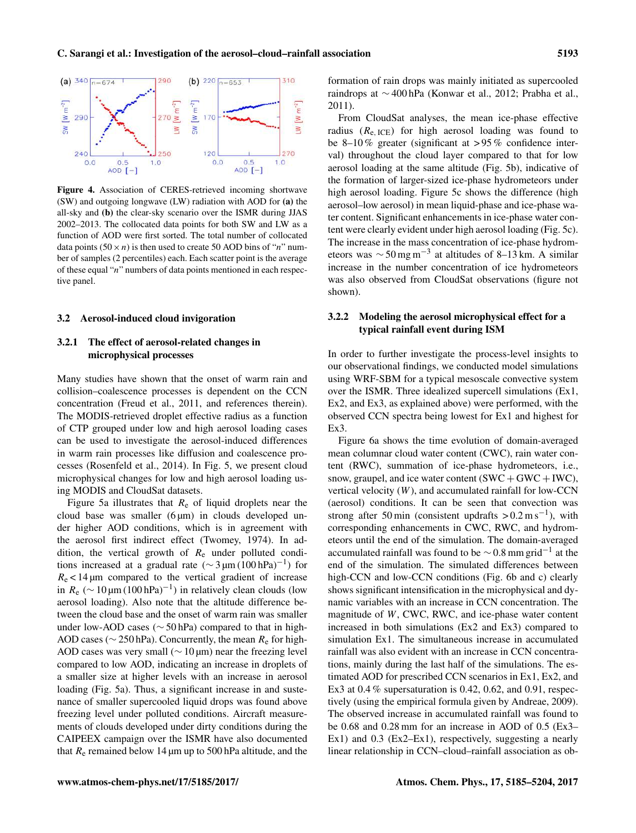

Figure 4. Association of CERES-retrieved incoming shortwave (SW) and outgoing longwave (LW) radiation with AOD for (a) the all-sky and (b) the clear-sky scenario over the ISMR during JJAS 2002–2013. The collocated data points for both SW and LW as a function of AOD were first sorted. The total number of collocated data points  $(50 \times n)$  is then used to create 50 AOD bins of "n" number of samples (2 percentiles) each. Each scatter point is the average of these equal "n" numbers of data points mentioned in each respective panel.

#### 3.2 Aerosol-induced cloud invigoration

## 3.2.1 The effect of aerosol-related changes in microphysical processes

Many studies have shown that the onset of warm rain and collision–coalescence processes is dependent on the CCN concentration (Freud et al., 2011, and references therein). The MODIS-retrieved droplet effective radius as a function of CTP grouped under low and high aerosol loading cases can be used to investigate the aerosol-induced differences in warm rain processes like diffusion and coalescence processes (Rosenfeld et al., 2014). In Fig. 5, we present cloud microphysical changes for low and high aerosol loading using MODIS and CloudSat datasets.

Figure 5a illustrates that  $R_e$  of liquid droplets near the cloud base was smaller  $(6 \mu m)$  in clouds developed under higher AOD conditions, which is in agreement with the aerosol first indirect effect (Twomey, 1974). In addition, the vertical growth of  $R_e$  under polluted conditions increased at a gradual rate ( $\sim$ 3 µm (100 hPa)<sup>-1</sup>) for  $R_e$  < 14 µm compared to the vertical gradient of increase in  $R_e$  (~ 10 µm (100 hPa)<sup>-1</sup>) in relatively clean clouds (low aerosol loading). Also note that the altitude difference between the cloud base and the onset of warm rain was smaller under low-AOD cases (∼ 50 hPa) compared to that in high-AOD cases ( $\sim$  250 hPa). Concurrently, the mean  $R_e$  for high-AOD cases was very small ( $\sim$  10 µm) near the freezing level compared to low AOD, indicating an increase in droplets of a smaller size at higher levels with an increase in aerosol loading (Fig. 5a). Thus, a significant increase in and sustenance of smaller supercooled liquid drops was found above freezing level under polluted conditions. Aircraft measurements of clouds developed under dirty conditions during the CAIPEEX campaign over the ISMR have also documented that  $R_e$  remained below 14  $\mu$ m up to 500 hPa altitude, and the formation of rain drops was mainly initiated as supercooled raindrops at ∼ 400 hPa (Konwar et al., 2012; Prabha et al., 2011).

From CloudSat analyses, the mean ice-phase effective radius  $(R_{e,ICE})$  for high aerosol loading was found to be 8–10% greater (significant at  $> 95\%$  confidence interval) throughout the cloud layer compared to that for low aerosol loading at the same altitude (Fig. 5b), indicative of the formation of larger-sized ice-phase hydrometeors under high aerosol loading. Figure 5c shows the difference (high aerosol–low aerosol) in mean liquid-phase and ice-phase water content. Significant enhancements in ice-phase water content were clearly evident under high aerosol loading (Fig. 5c). The increase in the mass concentration of ice-phase hydrometeors was  $\sim 50 \text{ mg m}^{-3}$  at altitudes of 8–13 km. A similar increase in the number concentration of ice hydrometeors was also observed from CloudSat observations (figure not shown).

## 3.2.2 Modeling the aerosol microphysical effect for a typical rainfall event during ISM

In order to further investigate the process-level insights to our observational findings, we conducted model simulations using WRF-SBM for a typical mesoscale convective system over the ISMR. Three idealized supercell simulations (Ex1, Ex2, and Ex3, as explained above) were performed, with the observed CCN spectra being lowest for Ex1 and highest for Ex3.

Figure 6a shows the time evolution of domain-averaged mean columnar cloud water content (CWC), rain water content (RWC), summation of ice-phase hydrometeors, i.e., snow, graupel, and ice water content  $(SWC + GWC + IWC)$ , vertical velocity  $(W)$ , and accumulated rainfall for low-CCN (aerosol) conditions. It can be seen that convection was strong after 50 min (consistent updrafts >  $0.2 \text{ m s}^{-1}$ ), with corresponding enhancements in CWC, RWC, and hydrometeors until the end of the simulation. The domain-averaged accumulated rainfall was found to be  $\sim$  0.8 mm grid<sup>-1</sup> at the end of the simulation. The simulated differences between high-CCN and low-CCN conditions (Fig. 6b and c) clearly shows significant intensification in the microphysical and dynamic variables with an increase in CCN concentration. The magnitude of W, CWC, RWC, and ice-phase water content increased in both simulations (Ex2 and Ex3) compared to simulation Ex1. The simultaneous increase in accumulated rainfall was also evident with an increase in CCN concentrations, mainly during the last half of the simulations. The estimated AOD for prescribed CCN scenarios in Ex1, Ex2, and Ex3 at 0.4 % supersaturation is 0.42, 0.62, and 0.91, respectively (using the empirical formula given by Andreae, 2009). The observed increase in accumulated rainfall was found to be 0.68 and 0.28 mm for an increase in AOD of 0.5 (Ex3– Ex1) and 0.3 (Ex2–Ex1), respectively, suggesting a nearly linear relationship in CCN–cloud–rainfall association as ob-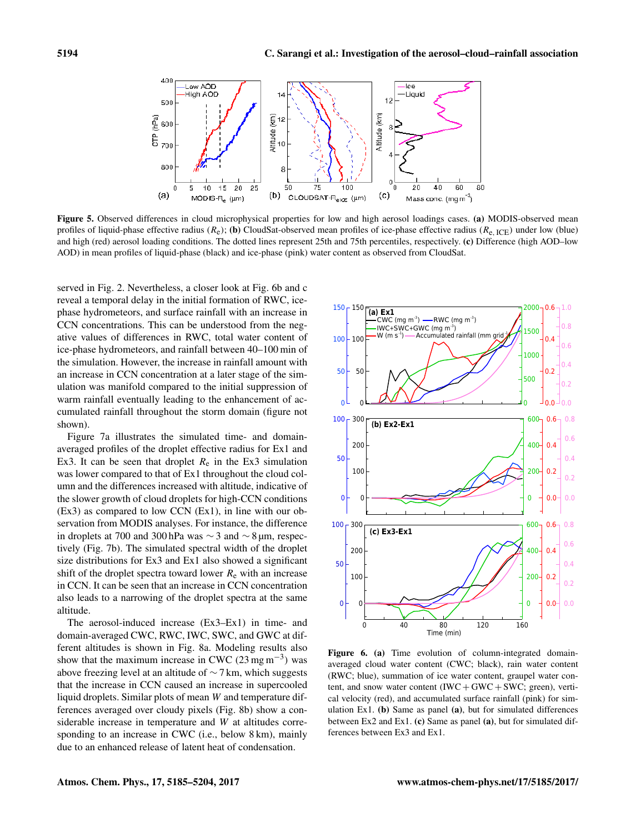

Figure 5. Observed differences in cloud microphysical properties for low and high aerosol loadings cases. (a) MODIS-observed mean profiles of liquid-phase effective radius  $(R_e)$ ; (b) CloudSat-observed mean profiles of ice-phase effective radius  $(R_e)$  under low (blue) and high (red) aerosol loading conditions. The dotted lines represent 25th and 75th percentiles, respectively. (c) Difference (high AOD–low AOD) in mean profiles of liquid-phase (black) and ice-phase (pink) water content as observed from CloudSat.

served in Fig. 2. Nevertheless, a closer look at Fig. 6b and c reveal a temporal delay in the initial formation of RWC, icephase hydrometeors, and surface rainfall with an increase in CCN concentrations. This can be understood from the negative values of differences in RWC, total water content of ice-phase hydrometeors, and rainfall between 40–100 min of the simulation. However, the increase in rainfall amount with an increase in CCN concentration at a later stage of the simulation was manifold compared to the initial suppression of warm rainfall eventually leading to the enhancement of accumulated rainfall throughout the storm domain (figure not shown).

Figure 7a illustrates the simulated time- and domainaveraged profiles of the droplet effective radius for Ex1 and Ex3. It can be seen that droplet  $R_e$  in the Ex3 simulation was lower compared to that of Ex1 throughout the cloud column and the differences increased with altitude, indicative of the slower growth of cloud droplets for high-CCN conditions (Ex3) as compared to low CCN (Ex1), in line with our observation from MODIS analyses. For instance, the difference in droplets at 700 and 300 hPa was ∼ 3 and ∼ 8 µm, respectively (Fig. 7b). The simulated spectral width of the droplet size distributions for Ex3 and Ex1 also showed a significant shift of the droplet spectra toward lower  $R_e$  with an increase in CCN. It can be seen that an increase in CCN concentration also leads to a narrowing of the droplet spectra at the same altitude.

The aerosol-induced increase (Ex3–Ex1) in time- and domain-averaged CWC, RWC, IWC, SWC, and GWC at different altitudes is shown in Fig. 8a. Modeling results also show that the maximum increase in CWC  $(23 \text{ mg m}^{-3})$  was above freezing level at an altitude of ∼ 7 km, which suggests that the increase in CCN caused an increase in supercooled liquid droplets. Similar plots of mean W and temperature differences averaged over cloudy pixels (Fig. 8b) show a considerable increase in temperature and W at altitudes corresponding to an increase in CWC (i.e., below 8 km), mainly due to an enhanced release of latent heat of condensation.



Figure 6. (a) Time evolution of column-integrated domainaveraged cloud water content (CWC; black), rain water content (RWC; blue), summation of ice water content, graupel water content, and snow water content (IWC + GWC + SWC; green), vertical velocity (red), and accumulated surface rainfall (pink) for simulation Ex1. (b) Same as panel (a), but for simulated differences between Ex2 and Ex1. (c) Same as panel (a), but for simulated differences between Ex3 and Ex1.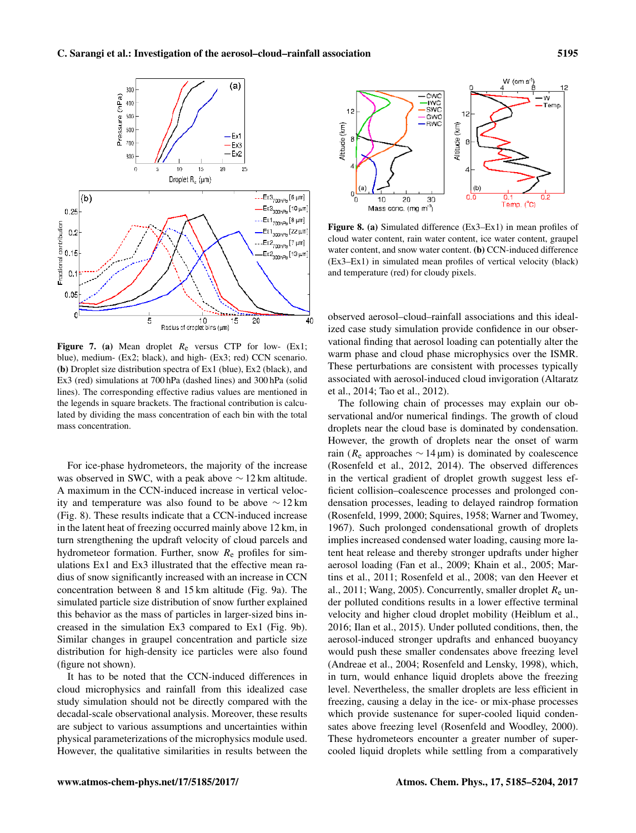

Figure 7. (a) Mean droplet  $R_e$  versus CTP for low- (Ex1; blue), medium- (Ex2; black), and high- (Ex3; red) CCN scenario. (b) Droplet size distribution spectra of Ex1 (blue), Ex2 (black), and Ex3 (red) simulations at 700 hPa (dashed lines) and 300 hPa (solid lines). The corresponding effective radius values are mentioned in the legends in square brackets. The fractional contribution is calculated by dividing the mass concentration of each bin with the total mass concentration.

For ice-phase hydrometeors, the majority of the increase was observed in SWC, with a peak above  $\sim$  12 km altitude. A maximum in the CCN-induced increase in vertical velocity and temperature was also found to be above ∼ 12 km (Fig. 8). These results indicate that a CCN-induced increase in the latent heat of freezing occurred mainly above 12 km, in turn strengthening the updraft velocity of cloud parcels and hydrometeor formation. Further, snow  $R_e$  profiles for simulations Ex1 and Ex3 illustrated that the effective mean radius of snow significantly increased with an increase in CCN concentration between 8 and 15 km altitude (Fig. 9a). The simulated particle size distribution of snow further explained this behavior as the mass of particles in larger-sized bins increased in the simulation Ex3 compared to Ex1 (Fig. 9b). Similar changes in graupel concentration and particle size distribution for high-density ice particles were also found (figure not shown).

It has to be noted that the CCN-induced differences in cloud microphysics and rainfall from this idealized case study simulation should not be directly compared with the decadal-scale observational analysis. Moreover, these results are subject to various assumptions and uncertainties within physical parameterizations of the microphysics module used. However, the qualitative similarities in results between the



Figure 8. (a) Simulated difference (Ex3–Ex1) in mean profiles of cloud water content, rain water content, ice water content, graupel water content, and snow water content. (b) CCN-induced difference (Ex3–Ex1) in simulated mean profiles of vertical velocity (black) and temperature (red) for cloudy pixels.

observed aerosol–cloud–rainfall associations and this idealized case study simulation provide confidence in our observational finding that aerosol loading can potentially alter the warm phase and cloud phase microphysics over the ISMR. These perturbations are consistent with processes typically associated with aerosol-induced cloud invigoration (Altaratz et al., 2014; Tao et al., 2012).

The following chain of processes may explain our observational and/or numerical findings. The growth of cloud droplets near the cloud base is dominated by condensation. However, the growth of droplets near the onset of warm rain ( $R_e$  approaches  $\sim$  14 µm) is dominated by coalescence (Rosenfeld et al., 2012, 2014). The observed differences in the vertical gradient of droplet growth suggest less efficient collision–coalescence processes and prolonged condensation processes, leading to delayed raindrop formation (Rosenfeld, 1999, 2000; Squires, 1958; Warner and Twomey, 1967). Such prolonged condensational growth of droplets implies increased condensed water loading, causing more latent heat release and thereby stronger updrafts under higher aerosol loading (Fan et al., 2009; Khain et al., 2005; Martins et al., 2011; Rosenfeld et al., 2008; van den Heever et al., 2011; Wang, 2005). Concurrently, smaller droplet  $R_e$  under polluted conditions results in a lower effective terminal velocity and higher cloud droplet mobility (Heiblum et al., 2016; Ilan et al., 2015). Under polluted conditions, then, the aerosol-induced stronger updrafts and enhanced buoyancy would push these smaller condensates above freezing level (Andreae et al., 2004; Rosenfeld and Lensky, 1998), which, in turn, would enhance liquid droplets above the freezing level. Nevertheless, the smaller droplets are less efficient in freezing, causing a delay in the ice- or mix-phase processes which provide sustenance for super-cooled liquid condensates above freezing level (Rosenfeld and Woodley, 2000). These hydrometeors encounter a greater number of supercooled liquid droplets while settling from a comparatively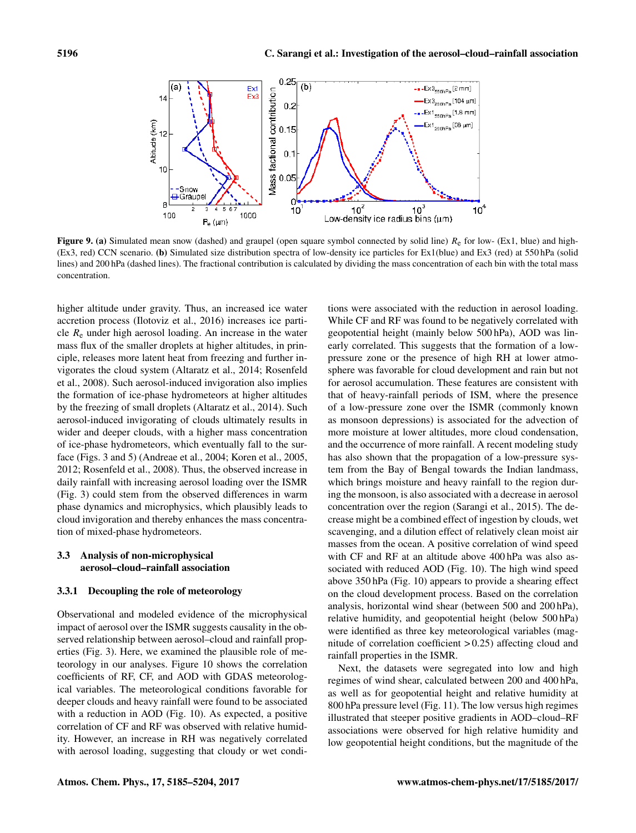

Figure 9. (a) Simulated mean snow (dashed) and graupel (open square symbol connected by solid line)  $R<sub>e</sub>$  for low- (Ex1, blue) and high-(Ex3, red) CCN scenario. (b) Simulated size distribution spectra of low-density ice particles for Ex1(blue) and Ex3 (red) at 550 hPa (solid lines) and 200 hPa (dashed lines). The fractional contribution is calculated by dividing the mass concentration of each bin with the total mass concentration.

higher altitude under gravity. Thus, an increased ice water accretion process (Ilotoviz et al., 2016) increases ice particle  $R_e$  under high aerosol loading. An increase in the water mass flux of the smaller droplets at higher altitudes, in principle, releases more latent heat from freezing and further invigorates the cloud system (Altaratz et al., 2014; Rosenfeld et al., 2008). Such aerosol-induced invigoration also implies the formation of ice-phase hydrometeors at higher altitudes by the freezing of small droplets (Altaratz et al., 2014). Such aerosol-induced invigorating of clouds ultimately results in wider and deeper clouds, with a higher mass concentration of ice-phase hydrometeors, which eventually fall to the surface (Figs. 3 and 5) (Andreae et al., 2004; Koren et al., 2005, 2012; Rosenfeld et al., 2008). Thus, the observed increase in daily rainfall with increasing aerosol loading over the ISMR (Fig. 3) could stem from the observed differences in warm phase dynamics and microphysics, which plausibly leads to cloud invigoration and thereby enhances the mass concentration of mixed-phase hydrometeors.

## 3.3 Analysis of non-microphysical aerosol–cloud–rainfall association

## 3.3.1 Decoupling the role of meteorology

Observational and modeled evidence of the microphysical impact of aerosol over the ISMR suggests causality in the observed relationship between aerosol–cloud and rainfall properties (Fig. 3). Here, we examined the plausible role of meteorology in our analyses. Figure 10 shows the correlation coefficients of RF, CF, and AOD with GDAS meteorological variables. The meteorological conditions favorable for deeper clouds and heavy rainfall were found to be associated with a reduction in AOD (Fig. 10). As expected, a positive correlation of CF and RF was observed with relative humidity. However, an increase in RH was negatively correlated with aerosol loading, suggesting that cloudy or wet conditions were associated with the reduction in aerosol loading. While CF and RF was found to be negatively correlated with geopotential height (mainly below 500 hPa), AOD was linearly correlated. This suggests that the formation of a lowpressure zone or the presence of high RH at lower atmosphere was favorable for cloud development and rain but not for aerosol accumulation. These features are consistent with that of heavy-rainfall periods of ISM, where the presence of a low-pressure zone over the ISMR (commonly known as monsoon depressions) is associated for the advection of more moisture at lower altitudes, more cloud condensation, and the occurrence of more rainfall. A recent modeling study has also shown that the propagation of a low-pressure system from the Bay of Bengal towards the Indian landmass, which brings moisture and heavy rainfall to the region during the monsoon, is also associated with a decrease in aerosol concentration over the region (Sarangi et al., 2015). The decrease might be a combined effect of ingestion by clouds, wet scavenging, and a dilution effect of relatively clean moist air masses from the ocean. A positive correlation of wind speed with CF and RF at an altitude above 400 hPa was also associated with reduced AOD (Fig. 10). The high wind speed above 350 hPa (Fig. 10) appears to provide a shearing effect on the cloud development process. Based on the correlation analysis, horizontal wind shear (between 500 and 200 hPa), relative humidity, and geopotential height (below 500 hPa) were identified as three key meteorological variables (magnitude of correlation coefficient  $> 0.25$ ) affecting cloud and rainfall properties in the ISMR.

Next, the datasets were segregated into low and high regimes of wind shear, calculated between 200 and 400 hPa, as well as for geopotential height and relative humidity at 800 hPa pressure level (Fig. 11). The low versus high regimes illustrated that steeper positive gradients in AOD–cloud–RF associations were observed for high relative humidity and low geopotential height conditions, but the magnitude of the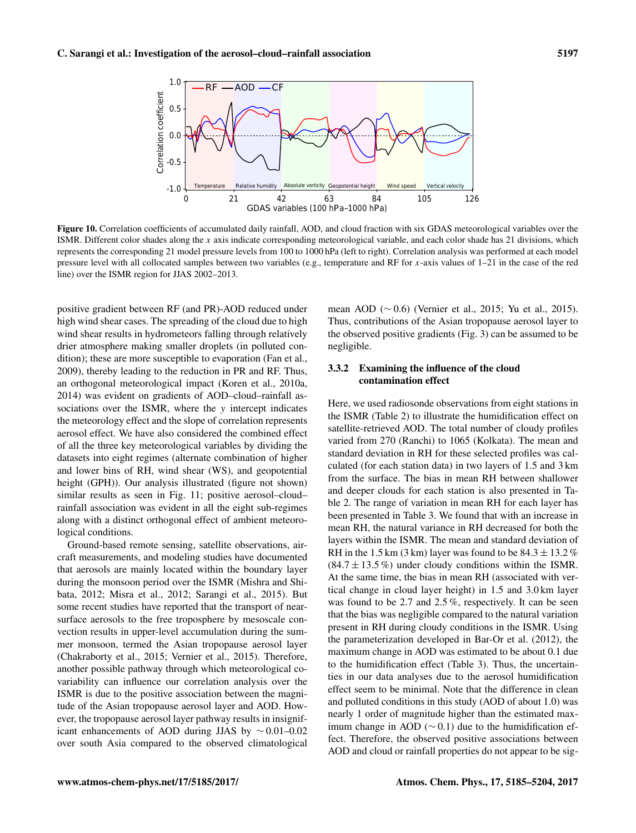

Figure 10. Correlation coefficients of accumulated daily rainfall, AOD, and cloud fraction with six GDAS meteorological variables over the ISMR. Different color shades along the x axis indicate corresponding meteorological variable, and each color shade has 21 divisions, which represents the corresponding 21 model pressure levels from 100 to 1000 hPa (left to right). Correlation analysis was performed at each model pressure level with all collocated samples between two variables (e.g., temperature and RF for x-axis values of 1–21 in the case of the red line) over the ISMR region for JJAS 2002–2013.

positive gradient between RF (and PR)-AOD reduced under high wind shear cases. The spreading of the cloud due to high wind shear results in hydrometeors falling through relatively drier atmosphere making smaller droplets (in polluted condition); these are more susceptible to evaporation (Fan et al., 2009), thereby leading to the reduction in PR and RF. Thus, an orthogonal meteorological impact (Koren et al., 2010a, 2014) was evident on gradients of AOD–cloud–rainfall associations over the ISMR, where the y intercept indicates the meteorology effect and the slope of correlation represents aerosol effect. We have also considered the combined effect of all the three key meteorological variables by dividing the datasets into eight regimes (alternate combination of higher and lower bins of RH, wind shear (WS), and geopotential height (GPH)). Our analysis illustrated (figure not shown) similar results as seen in Fig. 11; positive aerosol–cloud– rainfall association was evident in all the eight sub-regimes along with a distinct orthogonal effect of ambient meteorological conditions.

Ground-based remote sensing, satellite observations, aircraft measurements, and modeling studies have documented that aerosols are mainly located within the boundary layer during the monsoon period over the ISMR (Mishra and Shibata, 2012; Misra et al., 2012; Sarangi et al., 2015). But some recent studies have reported that the transport of nearsurface aerosols to the free troposphere by mesoscale convection results in upper-level accumulation during the summer monsoon, termed the Asian tropopause aerosol layer (Chakraborty et al., 2015; Vernier et al., 2015). Therefore, another possible pathway through which meteorological covariability can influence our correlation analysis over the ISMR is due to the positive association between the magnitude of the Asian tropopause aerosol layer and AOD. However, the tropopause aerosol layer pathway results in insignificant enhancements of AOD during JJAS by  $\sim$  0.01–0.02 over south Asia compared to the observed climatological mean AOD (∼ 0.6) (Vernier et al., 2015; Yu et al., 2015). Thus, contributions of the Asian tropopause aerosol layer to the observed positive gradients (Fig. 3) can be assumed to be negligible.

# 3.3.2 Examining the influence of the cloud contamination effect

Here, we used radiosonde observations from eight stations in the ISMR (Table 2) to illustrate the humidification effect on satellite-retrieved AOD. The total number of cloudy profiles varied from 270 (Ranchi) to 1065 (Kolkata). The mean and standard deviation in RH for these selected profiles was calculated (for each station data) in two layers of 1.5 and 3 km from the surface. The bias in mean RH between shallower and deeper clouds for each station is also presented in Table 2. The range of variation in mean RH for each layer has been presented in Table 3. We found that with an increase in mean RH, the natural variance in RH decreased for both the layers within the ISMR. The mean and standard deviation of RH in the 1.5 km (3 km) layer was found to be  $84.3 \pm 13.2$  %  $(84.7 \pm 13.5\%)$  under cloudy conditions within the ISMR. At the same time, the bias in mean RH (associated with vertical change in cloud layer height) in 1.5 and 3.0 km layer was found to be 2.7 and 2.5 %, respectively. It can be seen that the bias was negligible compared to the natural variation present in RH during cloudy conditions in the ISMR. Using the parameterization developed in Bar-Or et al. (2012), the maximum change in AOD was estimated to be about 0.1 due to the humidification effect (Table 3). Thus, the uncertainties in our data analyses due to the aerosol humidification effect seem to be minimal. Note that the difference in clean and polluted conditions in this study (AOD of about 1.0) was nearly 1 order of magnitude higher than the estimated maximum change in AOD ( $\sim$  0.1) due to the humidification effect. Therefore, the observed positive associations between AOD and cloud or rainfall properties do not appear to be sig-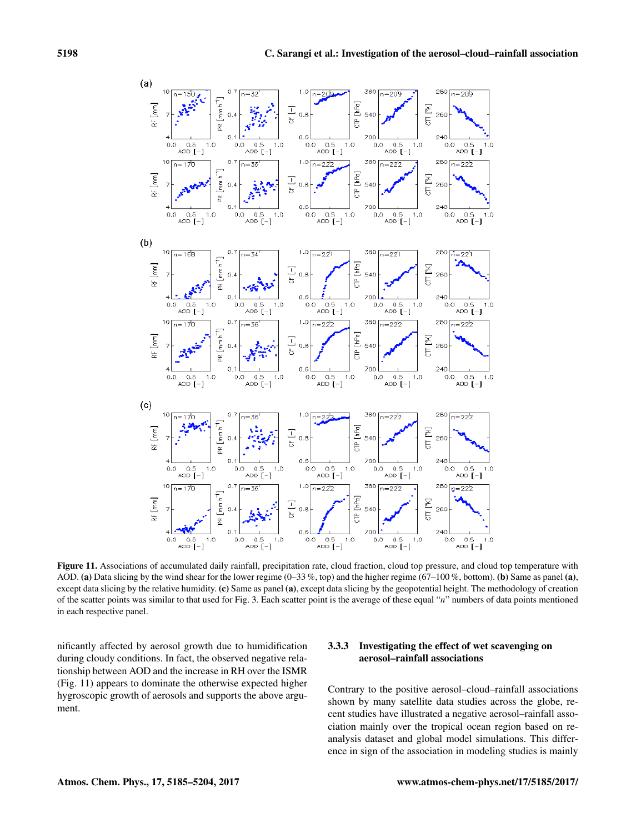

Figure 11. Associations of accumulated daily rainfall, precipitation rate, cloud fraction, cloud top pressure, and cloud top temperature with AOD. (a) Data slicing by the wind shear for the lower regime  $(0-33\%, top)$  and the higher regime  $(67-100\%, bottom)$ . (b) Same as panel (a), except data slicing by the relative humidity. (c) Same as panel (a), except data slicing by the geopotential height. The methodology of creation of the scatter points was similar to that used for Fig. 3. Each scatter point is the average of these equal "n" numbers of data points mentioned in each respective panel.

nificantly affected by aerosol growth due to humidification during cloudy conditions. In fact, the observed negative relationship between AOD and the increase in RH over the ISMR (Fig. 11) appears to dominate the otherwise expected higher hygroscopic growth of aerosols and supports the above argument.

# 3.3.3 Investigating the effect of wet scavenging on aerosol–rainfall associations

Contrary to the positive aerosol–cloud–rainfall associations shown by many satellite data studies across the globe, recent studies have illustrated a negative aerosol–rainfall association mainly over the tropical ocean region based on reanalysis dataset and global model simulations. This difference in sign of the association in modeling studies is mainly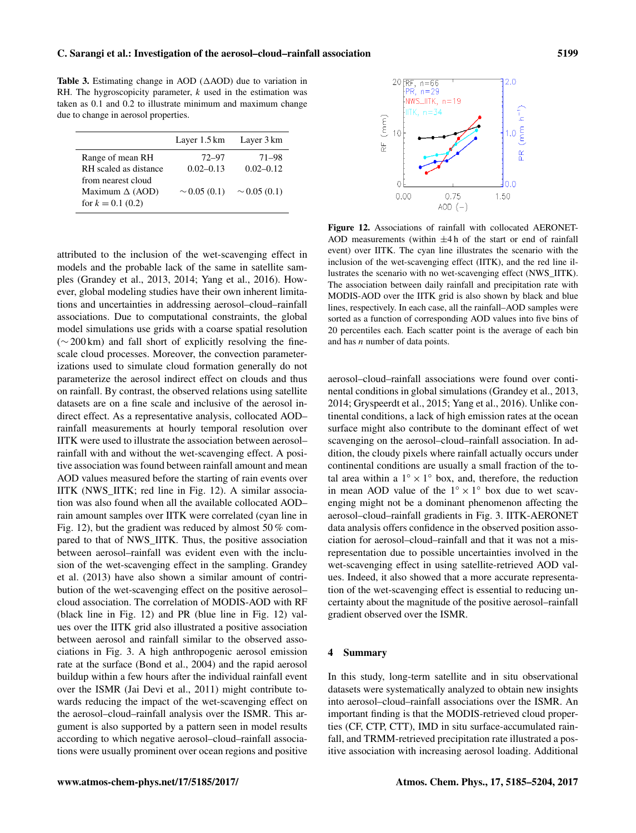**Table 3.** Estimating change in AOD  $(\triangle AOD)$  due to variation in RH. The hygroscopicity parameter,  $k$  used in the estimation was taken as 0.1 and 0.2 to illustrate minimum and maximum change due to change in aerosol properties.

|                        | Layer 1.5 km     | Layer 3 km       |
|------------------------|------------------|------------------|
| Range of mean RH       | 72–97            | 71–98            |
| RH scaled as distance  | $0.02 - 0.13$    | $0.02 - 0.12$    |
| from nearest cloud     |                  |                  |
| Maximum $\Delta$ (AOD) | $\sim 0.05(0.1)$ | $\sim 0.05(0.1)$ |
| for $k = 0.1$ (0.2)    |                  |                  |
|                        |                  |                  |

attributed to the inclusion of the wet-scavenging effect in models and the probable lack of the same in satellite samples (Grandey et al., 2013, 2014; Yang et al., 2016). However, global modeling studies have their own inherent limitations and uncertainties in addressing aerosol–cloud–rainfall associations. Due to computational constraints, the global model simulations use grids with a coarse spatial resolution  $(\sim 200 \text{ km})$  and fall short of explicitly resolving the finescale cloud processes. Moreover, the convection parameterizations used to simulate cloud formation generally do not parameterize the aerosol indirect effect on clouds and thus on rainfall. By contrast, the observed relations using satellite datasets are on a fine scale and inclusive of the aerosol indirect effect. As a representative analysis, collocated AOD– rainfall measurements at hourly temporal resolution over IITK were used to illustrate the association between aerosol– rainfall with and without the wet-scavenging effect. A positive association was found between rainfall amount and mean AOD values measured before the starting of rain events over IITK (NWS\_IITK; red line in Fig. 12). A similar association was also found when all the available collocated AOD– rain amount samples over IITK were correlated (cyan line in Fig. 12), but the gradient was reduced by almost 50 % compared to that of NWS\_IITK. Thus, the positive association between aerosol–rainfall was evident even with the inclusion of the wet-scavenging effect in the sampling. Grandey et al. (2013) have also shown a similar amount of contribution of the wet-scavenging effect on the positive aerosol– cloud association. The correlation of MODIS-AOD with RF (black line in Fig. 12) and PR (blue line in Fig. 12) values over the IITK grid also illustrated a positive association between aerosol and rainfall similar to the observed associations in Fig. 3. A high anthropogenic aerosol emission rate at the surface (Bond et al., 2004) and the rapid aerosol buildup within a few hours after the individual rainfall event over the ISMR (Jai Devi et al., 2011) might contribute towards reducing the impact of the wet-scavenging effect on the aerosol–cloud–rainfall analysis over the ISMR. This argument is also supported by a pattern seen in model results according to which negative aerosol–cloud–rainfall associations were usually prominent over ocean regions and positive



Figure 12. Associations of rainfall with collocated AERONET-AOD measurements (within  $\pm 4$  h of the start or end of rainfall event) over IITK. The cyan line illustrates the scenario with the inclusion of the wet-scavenging effect (IITK), and the red line illustrates the scenario with no wet-scavenging effect (NWS\_IITK). The association between daily rainfall and precipitation rate with MODIS-AOD over the IITK grid is also shown by black and blue lines, respectively. In each case, all the rainfall–AOD samples were sorted as a function of corresponding AOD values into five bins of 20 percentiles each. Each scatter point is the average of each bin and has  $n$  number of data points.

aerosol–cloud–rainfall associations were found over continental conditions in global simulations (Grandey et al., 2013, 2014; Gryspeerdt et al., 2015; Yang et al., 2016). Unlike continental conditions, a lack of high emission rates at the ocean surface might also contribute to the dominant effect of wet scavenging on the aerosol–cloud–rainfall association. In addition, the cloudy pixels where rainfall actually occurs under continental conditions are usually a small fraction of the total area within a  $1^\circ \times 1^\circ$  box, and, therefore, the reduction in mean AOD value of the  $1° \times 1°$  box due to wet scavenging might not be a dominant phenomenon affecting the aerosol–cloud–rainfall gradients in Fig. 3. IITK-AERONET data analysis offers confidence in the observed position association for aerosol–cloud–rainfall and that it was not a misrepresentation due to possible uncertainties involved in the wet-scavenging effect in using satellite-retrieved AOD values. Indeed, it also showed that a more accurate representation of the wet-scavenging effect is essential to reducing uncertainty about the magnitude of the positive aerosol–rainfall gradient observed over the ISMR.

#### 4 Summary

In this study, long-term satellite and in situ observational datasets were systematically analyzed to obtain new insights into aerosol–cloud–rainfall associations over the ISMR. An important finding is that the MODIS-retrieved cloud properties (CF, CTP, CTT), IMD in situ surface-accumulated rainfall, and TRMM-retrieved precipitation rate illustrated a positive association with increasing aerosol loading. Additional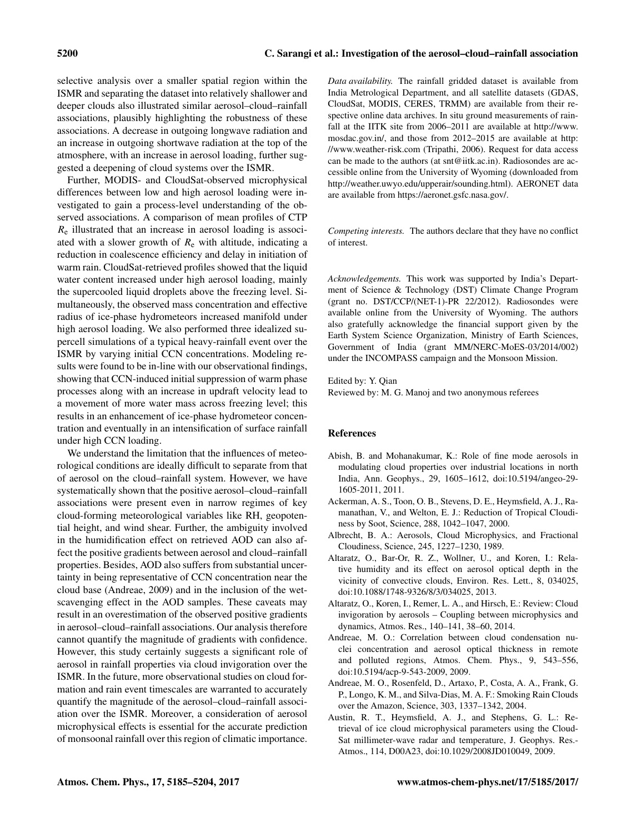selective analysis over a smaller spatial region within the ISMR and separating the dataset into relatively shallower and deeper clouds also illustrated similar aerosol–cloud–rainfall associations, plausibly highlighting the robustness of these associations. A decrease in outgoing longwave radiation and an increase in outgoing shortwave radiation at the top of the atmosphere, with an increase in aerosol loading, further suggested a deepening of cloud systems over the ISMR.

Further, MODIS- and CloudSat-observed microphysical differences between low and high aerosol loading were investigated to gain a process-level understanding of the observed associations. A comparison of mean profiles of CTP  $R_e$  illustrated that an increase in aerosol loading is associated with a slower growth of  $R_e$  with altitude, indicating a reduction in coalescence efficiency and delay in initiation of warm rain. CloudSat-retrieved profiles showed that the liquid water content increased under high aerosol loading, mainly the supercooled liquid droplets above the freezing level. Simultaneously, the observed mass concentration and effective radius of ice-phase hydrometeors increased manifold under high aerosol loading. We also performed three idealized supercell simulations of a typical heavy-rainfall event over the ISMR by varying initial CCN concentrations. Modeling results were found to be in-line with our observational findings, showing that CCN-induced initial suppression of warm phase processes along with an increase in updraft velocity lead to a movement of more water mass across freezing level; this results in an enhancement of ice-phase hydrometeor concentration and eventually in an intensification of surface rainfall under high CCN loading.

We understand the limitation that the influences of meteorological conditions are ideally difficult to separate from that of aerosol on the cloud–rainfall system. However, we have systematically shown that the positive aerosol–cloud–rainfall associations were present even in narrow regimes of key cloud-forming meteorological variables like RH, geopotential height, and wind shear. Further, the ambiguity involved in the humidification effect on retrieved AOD can also affect the positive gradients between aerosol and cloud–rainfall properties. Besides, AOD also suffers from substantial uncertainty in being representative of CCN concentration near the cloud base (Andreae, 2009) and in the inclusion of the wetscavenging effect in the AOD samples. These caveats may result in an overestimation of the observed positive gradients in aerosol–cloud–rainfall associations. Our analysis therefore cannot quantify the magnitude of gradients with confidence. However, this study certainly suggests a significant role of aerosol in rainfall properties via cloud invigoration over the ISMR. In the future, more observational studies on cloud formation and rain event timescales are warranted to accurately quantify the magnitude of the aerosol–cloud–rainfall association over the ISMR. Moreover, a consideration of aerosol microphysical effects is essential for the accurate prediction of monsoonal rainfall over this region of climatic importance.

*Data availability.* The rainfall gridded dataset is available from India Metrological Department, and all satellite datasets (GDAS, CloudSat, MODIS, CERES, TRMM) are available from their respective online data archives. In situ ground measurements of rainfall at the IITK site from 2006–2011 are available at http://www. mosdac.gov.in/, and those from 2012–2015 are available at http: //www.weather-risk.com (Tripathi, 2006). Request for data access can be made to the authors (at snt@iitk.ac.in). Radiosondes are accessible online from the University of Wyoming (downloaded from http://weather.uwyo.edu/upperair/sounding.html). AERONET data are available from https://aeronet.gsfc.nasa.gov/.

*Competing interests.* The authors declare that they have no conflict of interest.

*Acknowledgements.* This work was supported by India's Department of Science & Technology (DST) Climate Change Program (grant no. DST/CCP/(NET-1)-PR 22/2012). Radiosondes were available online from the University of Wyoming. The authors also gratefully acknowledge the financial support given by the Earth System Science Organization, Ministry of Earth Sciences, Government of India (grant MM/NERC-MoES-03/2014/002) under the INCOMPASS campaign and the Monsoon Mission.

Edited by: Y. Qian

Reviewed by: M. G. Manoj and two anonymous referees

#### References

- Abish, B. and Mohanakumar, K.: Role of fine mode aerosols in modulating cloud properties over industrial locations in north India, Ann. Geophys., 29, 1605–1612, doi:10.5194/angeo-29- 1605-2011, 2011.
- Ackerman, A. S., Toon, O. B., Stevens, D. E., Heymsfield, A. J., Ramanathan, V., and Welton, E. J.: Reduction of Tropical Cloudiness by Soot, Science, 288, 1042–1047, 2000.
- Albrecht, B. A.: Aerosols, Cloud Microphysics, and Fractional Cloudiness, Science, 245, 1227–1230, 1989.
- Altaratz, O., Bar-Or, R. Z., Wollner, U., and Koren, I.: Relative humidity and its effect on aerosol optical depth in the vicinity of convective clouds, Environ. Res. Lett., 8, 034025, doi:10.1088/1748-9326/8/3/034025, 2013.
- Altaratz, O., Koren, I., Remer, L. A., and Hirsch, E.: Review: Cloud invigoration by aerosols – Coupling between microphysics and dynamics, Atmos. Res., 140–141, 38–60, 2014.
- Andreae, M. O.: Correlation between cloud condensation nuclei concentration and aerosol optical thickness in remote and polluted regions, Atmos. Chem. Phys., 9, 543–556, doi:10.5194/acp-9-543-2009, 2009.
- Andreae, M. O., Rosenfeld, D., Artaxo, P., Costa, A. A., Frank, G. P., Longo, K. M., and Silva-Dias, M. A. F.: Smoking Rain Clouds over the Amazon, Science, 303, 1337–1342, 2004.
- Austin, R. T., Heymsfield, A. J., and Stephens, G. L.: Retrieval of ice cloud microphysical parameters using the Cloud-Sat millimeter-wave radar and temperature, J. Geophys. Res.- Atmos., 114, D00A23, doi:10.1029/2008JD010049, 2009.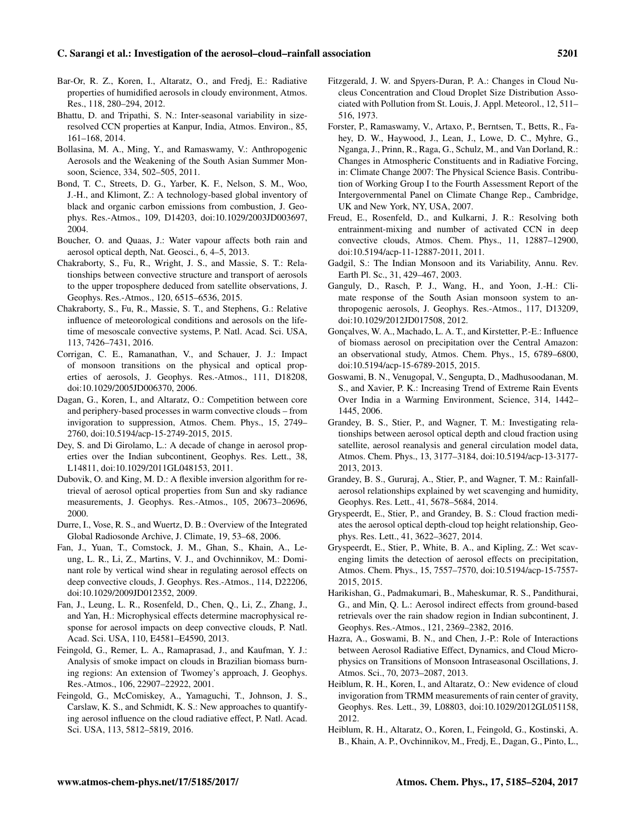#### C. Sarangi et al.: Investigation of the aerosol–cloud–rainfall association 5201

- Bar-Or, R. Z., Koren, I., Altaratz, O., and Fredj, E.: Radiative properties of humidified aerosols in cloudy environment, Atmos. Res., 118, 280–294, 2012.
- Bhattu, D. and Tripathi, S. N.: Inter-seasonal variability in sizeresolved CCN properties at Kanpur, India, Atmos. Environ., 85, 161–168, 2014.
- Bollasina, M. A., Ming, Y., and Ramaswamy, V.: Anthropogenic Aerosols and the Weakening of the South Asian Summer Monsoon, Science, 334, 502–505, 2011.
- Bond, T. C., Streets, D. G., Yarber, K. F., Nelson, S. M., Woo, J.-H., and Klimont, Z.: A technology-based global inventory of black and organic carbon emissions from combustion, J. Geophys. Res.-Atmos., 109, D14203, doi:10.1029/2003JD003697, 2004.
- Boucher, O. and Quaas, J.: Water vapour affects both rain and aerosol optical depth, Nat. Geosci., 6, 4–5, 2013.
- Chakraborty, S., Fu, R., Wright, J. S., and Massie, S. T.: Relationships between convective structure and transport of aerosols to the upper troposphere deduced from satellite observations, J. Geophys. Res.-Atmos., 120, 6515–6536, 2015.
- Chakraborty, S., Fu, R., Massie, S. T., and Stephens, G.: Relative influence of meteorological conditions and aerosols on the lifetime of mesoscale convective systems, P. Natl. Acad. Sci. USA, 113, 7426–7431, 2016.
- Corrigan, C. E., Ramanathan, V., and Schauer, J. J.: Impact of monsoon transitions on the physical and optical properties of aerosols, J. Geophys. Res.-Atmos., 111, D18208, doi:10.1029/2005JD006370, 2006.
- Dagan, G., Koren, I., and Altaratz, O.: Competition between core and periphery-based processes in warm convective clouds – from invigoration to suppression, Atmos. Chem. Phys., 15, 2749– 2760, doi:10.5194/acp-15-2749-2015, 2015.
- Dey, S. and Di Girolamo, L.: A decade of change in aerosol properties over the Indian subcontinent, Geophys. Res. Lett., 38, L14811, doi:10.1029/2011GL048153, 2011.
- Dubovik, O. and King, M. D.: A flexible inversion algorithm for retrieval of aerosol optical properties from Sun and sky radiance measurements, J. Geophys. Res.-Atmos., 105, 20673–20696, 2000.
- Durre, I., Vose, R. S., and Wuertz, D. B.: Overview of the Integrated Global Radiosonde Archive, J. Climate, 19, 53–68, 2006.
- Fan, J., Yuan, T., Comstock, J. M., Ghan, S., Khain, A., Leung, L. R., Li, Z., Martins, V. J., and Ovchinnikov, M.: Dominant role by vertical wind shear in regulating aerosol effects on deep convective clouds, J. Geophys. Res.-Atmos., 114, D22206, doi:10.1029/2009JD012352, 2009.
- Fan, J., Leung, L. R., Rosenfeld, D., Chen, Q., Li, Z., Zhang, J., and Yan, H.: Microphysical effects determine macrophysical response for aerosol impacts on deep convective clouds, P. Natl. Acad. Sci. USA, 110, E4581–E4590, 2013.
- Feingold, G., Remer, L. A., Ramaprasad, J., and Kaufman, Y. J.: Analysis of smoke impact on clouds in Brazilian biomass burning regions: An extension of Twomey's approach, J. Geophys. Res.-Atmos., 106, 22907–22922, 2001.
- Feingold, G., McComiskey, A., Yamaguchi, T., Johnson, J. S., Carslaw, K. S., and Schmidt, K. S.: New approaches to quantifying aerosol influence on the cloud radiative effect, P. Natl. Acad. Sci. USA, 113, 5812–5819, 2016.
- Fitzgerald, J. W. and Spyers-Duran, P. A.: Changes in Cloud Nucleus Concentration and Cloud Droplet Size Distribution Associated with Pollution from St. Louis, J. Appl. Meteorol., 12, 511– 516, 1973.
- Forster, P., Ramaswamy, V., Artaxo, P., Berntsen, T., Betts, R., Fahey, D. W., Haywood, J., Lean, J., Lowe, D. C., Myhre, G., Nganga, J., Prinn, R., Raga, G., Schulz, M., and Van Dorland, R.: Changes in Atmospheric Constituents and in Radiative Forcing, in: Climate Change 2007: The Physical Science Basis. Contribution of Working Group I to the Fourth Assessment Report of the Intergovernmental Panel on Climate Change Rep., Cambridge, UK and New York, NY, USA, 2007.
- Freud, E., Rosenfeld, D., and Kulkarni, J. R.: Resolving both entrainment-mixing and number of activated CCN in deep convective clouds, Atmos. Chem. Phys., 11, 12887–12900, doi:10.5194/acp-11-12887-2011, 2011.
- Gadgil, S.: The Indian Monsoon and its Variability, Annu. Rev. Earth Pl. Sc., 31, 429–467, 2003.
- Ganguly, D., Rasch, P. J., Wang, H., and Yoon, J.-H.: Climate response of the South Asian monsoon system to anthropogenic aerosols, J. Geophys. Res.-Atmos., 117, D13209, doi:10.1029/2012JD017508, 2012.
- Gonçalves, W. A., Machado, L. A. T., and Kirstetter, P.-E.: Influence of biomass aerosol on precipitation over the Central Amazon: an observational study, Atmos. Chem. Phys., 15, 6789–6800, doi:10.5194/acp-15-6789-2015, 2015.
- Goswami, B. N., Venugopal, V., Sengupta, D., Madhusoodanan, M. S., and Xavier, P. K.: Increasing Trend of Extreme Rain Events Over India in a Warming Environment, Science, 314, 1442– 1445, 2006.
- Grandey, B. S., Stier, P., and Wagner, T. M.: Investigating relationships between aerosol optical depth and cloud fraction using satellite, aerosol reanalysis and general circulation model data, Atmos. Chem. Phys., 13, 3177–3184, doi:10.5194/acp-13-3177- 2013, 2013.
- Grandey, B. S., Gururaj, A., Stier, P., and Wagner, T. M.: Rainfallaerosol relationships explained by wet scavenging and humidity, Geophys. Res. Lett., 41, 5678–5684, 2014.
- Gryspeerdt, E., Stier, P., and Grandey, B. S.: Cloud fraction mediates the aerosol optical depth-cloud top height relationship, Geophys. Res. Lett., 41, 3622–3627, 2014.
- Gryspeerdt, E., Stier, P., White, B. A., and Kipling, Z.: Wet scavenging limits the detection of aerosol effects on precipitation, Atmos. Chem. Phys., 15, 7557–7570, doi:10.5194/acp-15-7557- 2015, 2015.
- Harikishan, G., Padmakumari, B., Maheskumar, R. S., Pandithurai, G., and Min, Q. L.: Aerosol indirect effects from ground-based retrievals over the rain shadow region in Indian subcontinent, J. Geophys. Res.-Atmos., 121, 2369–2382, 2016.
- Hazra, A., Goswami, B. N., and Chen, J.-P.: Role of Interactions between Aerosol Radiative Effect, Dynamics, and Cloud Microphysics on Transitions of Monsoon Intraseasonal Oscillations, J. Atmos. Sci., 70, 2073–2087, 2013.
- Heiblum, R. H., Koren, I., and Altaratz, O.: New evidence of cloud invigoration from TRMM measurements of rain center of gravity, Geophys. Res. Lett., 39, L08803, doi:10.1029/2012GL051158, 2012.
- Heiblum, R. H., Altaratz, O., Koren, I., Feingold, G., Kostinski, A. B., Khain, A. P., Ovchinnikov, M., Fredj, E., Dagan, G., Pinto, L.,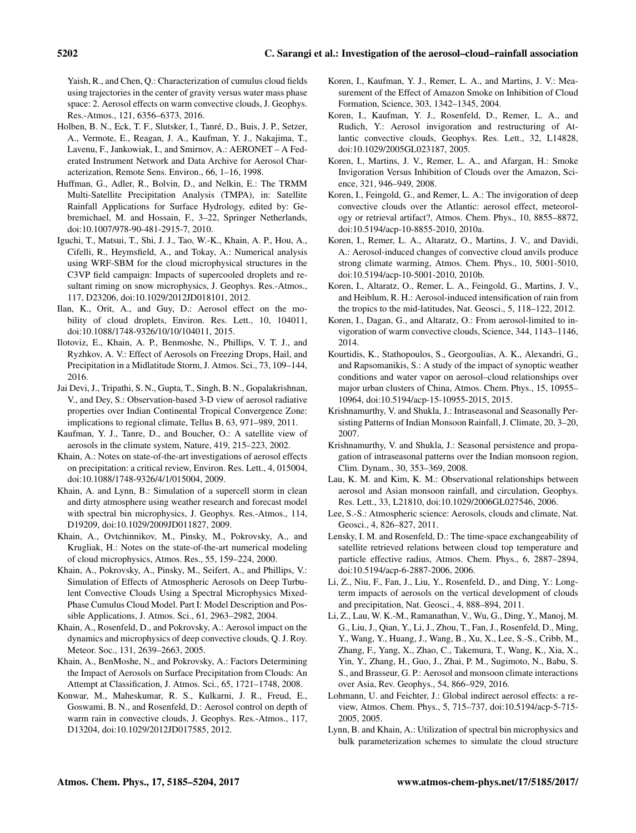Yaish, R., and Chen, Q.: Characterization of cumulus cloud fields using trajectories in the center of gravity versus water mass phase space: 2. Aerosol effects on warm convective clouds, J. Geophys. Res.-Atmos., 121, 6356–6373, 2016.

- Holben, B. N., Eck, T. F., Slutsker, I., Tanré, D., Buis, J. P., Setzer, A., Vermote, E., Reagan, J. A., Kaufman, Y. J., Nakajima, T., Lavenu, F., Jankowiak, I., and Smirnov, A.: AERONET – A Federated Instrument Network and Data Archive for Aerosol Characterization, Remote Sens. Environ., 66, 1–16, 1998.
- Huffman, G., Adler, R., Bolvin, D., and Nelkin, E.: The TRMM Multi-Satellite Precipitation Analysis (TMPA), in: Satellite Rainfall Applications for Surface Hydrology, edited by: Gebremichael, M. and Hossain, F., 3–22, Springer Netherlands, doi:10.1007/978-90-481-2915-7, 2010.
- Iguchi, T., Matsui, T., Shi, J. J., Tao, W.-K., Khain, A. P., Hou, A., Cifelli, R., Heymsfield, A., and Tokay, A.: Numerical analysis using WRF-SBM for the cloud microphysical structures in the C3VP field campaign: Impacts of supercooled droplets and resultant riming on snow microphysics, J. Geophys. Res.-Atmos., 117, D23206, doi:10.1029/2012JD018101, 2012.
- Ilan, K., Orit, A., and Guy, D.: Aerosol effect on the mobility of cloud droplets, Environ. Res. Lett., 10, 104011, doi:10.1088/1748-9326/10/10/104011, 2015.
- Ilotoviz, E., Khain, A. P., Benmoshe, N., Phillips, V. T. J., and Ryzhkov, A. V.: Effect of Aerosols on Freezing Drops, Hail, and Precipitation in a Midlatitude Storm, J. Atmos. Sci., 73, 109–144, 2016.
- Jai Devi, J., Tripathi, S. N., Gupta, T., Singh, B. N., Gopalakrishnan, V., and Dey, S.: Observation-based 3-D view of aerosol radiative properties over Indian Continental Tropical Convergence Zone: implications to regional climate, Tellus B, 63, 971–989, 2011.
- Kaufman, Y. J., Tanre, D., and Boucher, O.: A satellite view of aerosols in the climate system, Nature, 419, 215–223, 2002.
- Khain, A.: Notes on state-of-the-art investigations of aerosol effects on precipitation: a critical review, Environ. Res. Lett., 4, 015004, doi:10.1088/1748-9326/4/1/015004, 2009.
- Khain, A. and Lynn, B.: Simulation of a supercell storm in clean and dirty atmosphere using weather research and forecast model with spectral bin microphysics, J. Geophys. Res.-Atmos., 114, D19209, doi:10.1029/2009JD011827, 2009.
- Khain, A., Ovtchinnikov, M., Pinsky, M., Pokrovsky, A., and Krugliak, H.: Notes on the state-of-the-art numerical modeling of cloud microphysics, Atmos. Res., 55, 159–224, 2000.
- Khain, A., Pokrovsky, A., Pinsky, M., Seifert, A., and Phillips, V.: Simulation of Effects of Atmospheric Aerosols on Deep Turbulent Convective Clouds Using a Spectral Microphysics Mixed-Phase Cumulus Cloud Model. Part I: Model Description and Possible Applications, J. Atmos. Sci., 61, 2963–2982, 2004.
- Khain, A., Rosenfeld, D., and Pokrovsky, A.: Aerosol impact on the dynamics and microphysics of deep convective clouds, Q. J. Roy. Meteor. Soc., 131, 2639–2663, 2005.
- Khain, A., BenMoshe, N., and Pokrovsky, A.: Factors Determining the Impact of Aerosols on Surface Precipitation from Clouds: An Attempt at Classification, J. Atmos. Sci., 65, 1721–1748, 2008.
- Konwar, M., Maheskumar, R. S., Kulkarni, J. R., Freud, E., Goswami, B. N., and Rosenfeld, D.: Aerosol control on depth of warm rain in convective clouds, J. Geophys. Res.-Atmos., 117, D13204, doi:10.1029/2012JD017585, 2012.
- Koren, I., Kaufman, Y. J., Remer, L. A., and Martins, J. V.: Measurement of the Effect of Amazon Smoke on Inhibition of Cloud Formation, Science, 303, 1342–1345, 2004.
- Koren, I., Kaufman, Y. J., Rosenfeld, D., Remer, L. A., and Rudich, Y.: Aerosol invigoration and restructuring of Atlantic convective clouds, Geophys. Res. Lett., 32, L14828, doi:10.1029/2005GL023187, 2005.
- Koren, I., Martins, J. V., Remer, L. A., and Afargan, H.: Smoke Invigoration Versus Inhibition of Clouds over the Amazon, Science, 321, 946–949, 2008.
- Koren, I., Feingold, G., and Remer, L. A.: The invigoration of deep convective clouds over the Atlantic: aerosol effect, meteorology or retrieval artifact?, Atmos. Chem. Phys., 10, 8855–8872, doi:10.5194/acp-10-8855-2010, 2010a.
- Koren, I., Remer, L. A., Altaratz, O., Martins, J. V., and Davidi, A.: Aerosol-induced changes of convective cloud anvils produce strong climate warming, Atmos. Chem. Phys., 10, 5001-5010, doi:10.5194/acp-10-5001-2010, 2010b.
- Koren, I., Altaratz, O., Remer, L. A., Feingold, G., Martins, J. V., and Heiblum, R. H.: Aerosol-induced intensification of rain from the tropics to the mid-latitudes, Nat. Geosci., 5, 118–122, 2012.
- Koren, I., Dagan, G., and Altaratz, O.: From aerosol-limited to invigoration of warm convective clouds, Science, 344, 1143–1146, 2014.
- Kourtidis, K., Stathopoulos, S., Georgoulias, A. K., Alexandri, G., and Rapsomanikis, S.: A study of the impact of synoptic weather conditions and water vapor on aerosol–cloud relationships over major urban clusters of China, Atmos. Chem. Phys., 15, 10955– 10964, doi:10.5194/acp-15-10955-2015, 2015.
- Krishnamurthy, V. and Shukla, J.: Intraseasonal and Seasonally Persisting Patterns of Indian Monsoon Rainfall, J. Climate, 20, 3–20, 2007.
- Krishnamurthy, V. and Shukla, J.: Seasonal persistence and propagation of intraseasonal patterns over the Indian monsoon region, Clim. Dynam., 30, 353–369, 2008.
- Lau, K. M. and Kim, K. M.: Observational relationships between aerosol and Asian monsoon rainfall, and circulation, Geophys. Res. Lett., 33, L21810, doi:10.1029/2006GL027546, 2006.
- Lee, S.-S.: Atmospheric science: Aerosols, clouds and climate, Nat. Geosci., 4, 826–827, 2011.
- Lensky, I. M. and Rosenfeld, D.: The time-space exchangeability of satellite retrieved relations between cloud top temperature and particle effective radius, Atmos. Chem. Phys., 6, 2887–2894, doi:10.5194/acp-6-2887-2006, 2006.
- Li, Z., Niu, F., Fan, J., Liu, Y., Rosenfeld, D., and Ding, Y.: Longterm impacts of aerosols on the vertical development of clouds and precipitation, Nat. Geosci., 4, 888–894, 2011.
- Li, Z., Lau, W. K.-M., Ramanathan, V., Wu, G., Ding, Y., Manoj, M. G., Liu, J., Qian, Y., Li, J., Zhou, T., Fan, J., Rosenfeld, D., Ming, Y., Wang, Y., Huang, J., Wang, B., Xu, X., Lee, S.-S., Cribb, M., Zhang, F., Yang, X., Zhao, C., Takemura, T., Wang, K., Xia, X., Yin, Y., Zhang, H., Guo, J., Zhai, P. M., Sugimoto, N., Babu, S. S., and Brasseur, G. P.: Aerosol and monsoon climate interactions over Asia, Rev. Geophys., 54, 866–929, 2016.
- Lohmann, U. and Feichter, J.: Global indirect aerosol effects: a review, Atmos. Chem. Phys., 5, 715–737, doi:10.5194/acp-5-715- 2005, 2005.
- Lynn, B. and Khain, A.: Utilization of spectral bin microphysics and bulk parameterization schemes to simulate the cloud structure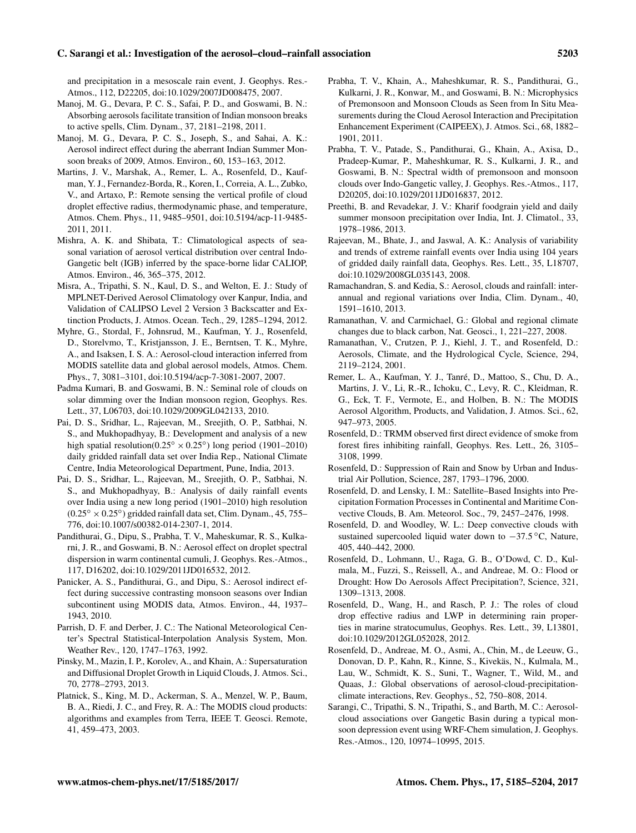#### C. Sarangi et al.: Investigation of the aerosol–cloud–rainfall association 5203

and precipitation in a mesoscale rain event, J. Geophys. Res.- Atmos., 112, D22205, doi:10.1029/2007JD008475, 2007.

- Manoj, M. G., Devara, P. C. S., Safai, P. D., and Goswami, B. N.: Absorbing aerosols facilitate transition of Indian monsoon breaks to active spells, Clim. Dynam., 37, 2181–2198, 2011.
- Manoj, M. G., Devara, P. C. S., Joseph, S., and Sahai, A. K.: Aerosol indirect effect during the aberrant Indian Summer Monsoon breaks of 2009, Atmos. Environ., 60, 153–163, 2012.
- Martins, J. V., Marshak, A., Remer, L. A., Rosenfeld, D., Kaufman, Y. J., Fernandez-Borda, R., Koren, I., Correia, A. L., Zubko, V., and Artaxo, P.: Remote sensing the vertical profile of cloud droplet effective radius, thermodynamic phase, and temperature, Atmos. Chem. Phys., 11, 9485–9501, doi:10.5194/acp-11-9485- 2011, 2011.
- Mishra, A. K. and Shibata, T.: Climatological aspects of seasonal variation of aerosol vertical distribution over central Indo-Gangetic belt (IGB) inferred by the space-borne lidar CALIOP, Atmos. Environ., 46, 365–375, 2012.
- Misra, A., Tripathi, S. N., Kaul, D. S., and Welton, E. J.: Study of MPLNET-Derived Aerosol Climatology over Kanpur, India, and Validation of CALIPSO Level 2 Version 3 Backscatter and Extinction Products, J. Atmos. Ocean. Tech., 29, 1285–1294, 2012.
- Myhre, G., Stordal, F., Johnsrud, M., Kaufman, Y. J., Rosenfeld, D., Storelvmo, T., Kristjansson, J. E., Berntsen, T. K., Myhre, A., and Isaksen, I. S. A.: Aerosol-cloud interaction inferred from MODIS satellite data and global aerosol models, Atmos. Chem. Phys., 7, 3081–3101, doi:10.5194/acp-7-3081-2007, 2007.
- Padma Kumari, B. and Goswami, B. N.: Seminal role of clouds on solar dimming over the Indian monsoon region, Geophys. Res. Lett., 37, L06703, doi:10.1029/2009GL042133, 2010.
- Pai, D. S., Sridhar, L., Rajeevan, M., Sreejith, O. P., Satbhai, N. S., and Mukhopadhyay, B.: Development and analysis of a new high spatial resolution( $0.25^\circ \times 0.25^\circ$ ) long period (1901–2010) daily gridded rainfall data set over India Rep., National Climate Centre, India Meteorological Department, Pune, India, 2013.
- Pai, D. S., Sridhar, L., Rajeevan, M., Sreejith, O. P., Satbhai, N. S., and Mukhopadhyay, B.: Analysis of daily rainfall events over India using a new long period (1901–2010) high resolution  $(0.25° \times 0.25°)$  gridded rainfall data set, Clim. Dynam., 45, 755– 776, doi:10.1007/s00382-014-2307-1, 2014.
- Pandithurai, G., Dipu, S., Prabha, T. V., Maheskumar, R. S., Kulkarni, J. R., and Goswami, B. N.: Aerosol effect on droplet spectral dispersion in warm continental cumuli, J. Geophys. Res.-Atmos., 117, D16202, doi:10.1029/2011JD016532, 2012.
- Panicker, A. S., Pandithurai, G., and Dipu, S.: Aerosol indirect effect during successive contrasting monsoon seasons over Indian subcontinent using MODIS data, Atmos. Environ., 44, 1937– 1943, 2010.
- Parrish, D. F. and Derber, J. C.: The National Meteorological Center's Spectral Statistical-Interpolation Analysis System, Mon. Weather Rev., 120, 1747–1763, 1992.
- Pinsky, M., Mazin, I. P., Korolev, A., and Khain, A.: Supersaturation and Diffusional Droplet Growth in Liquid Clouds, J. Atmos. Sci., 70, 2778–2793, 2013.
- Platnick, S., King, M. D., Ackerman, S. A., Menzel, W. P., Baum, B. A., Riedi, J. C., and Frey, R. A.: The MODIS cloud products: algorithms and examples from Terra, IEEE T. Geosci. Remote, 41, 459–473, 2003.
- Prabha, T. V., Khain, A., Maheshkumar, R. S., Pandithurai, G., Kulkarni, J. R., Konwar, M., and Goswami, B. N.: Microphysics of Premonsoon and Monsoon Clouds as Seen from In Situ Measurements during the Cloud Aerosol Interaction and Precipitation Enhancement Experiment (CAIPEEX), J. Atmos. Sci., 68, 1882– 1901, 2011.
- Prabha, T. V., Patade, S., Pandithurai, G., Khain, A., Axisa, D., Pradeep-Kumar, P., Maheshkumar, R. S., Kulkarni, J. R., and Goswami, B. N.: Spectral width of premonsoon and monsoon clouds over Indo-Gangetic valley, J. Geophys. Res.-Atmos., 117, D20205, doi:10.1029/2011JD016837, 2012.
- Preethi, B. and Revadekar, J. V.: Kharif foodgrain yield and daily summer monsoon precipitation over India, Int. J. Climatol., 33, 1978–1986, 2013.
- Rajeevan, M., Bhate, J., and Jaswal, A. K.: Analysis of variability and trends of extreme rainfall events over India using 104 years of gridded daily rainfall data, Geophys. Res. Lett., 35, L18707, doi:10.1029/2008GL035143, 2008.
- Ramachandran, S. and Kedia, S.: Aerosol, clouds and rainfall: interannual and regional variations over India, Clim. Dynam., 40, 1591–1610, 2013.
- Ramanathan, V. and Carmichael, G.: Global and regional climate changes due to black carbon, Nat. Geosci., 1, 221–227, 2008.
- Ramanathan, V., Crutzen, P. J., Kiehl, J. T., and Rosenfeld, D.: Aerosols, Climate, and the Hydrological Cycle, Science, 294, 2119–2124, 2001.
- Remer, L. A., Kaufman, Y. J., Tanré, D., Mattoo, S., Chu, D. A., Martins, J. V., Li, R.-R., Ichoku, C., Levy, R. C., Kleidman, R. G., Eck, T. F., Vermote, E., and Holben, B. N.: The MODIS Aerosol Algorithm, Products, and Validation, J. Atmos. Sci., 62, 947–973, 2005.
- Rosenfeld, D.: TRMM observed first direct evidence of smoke from forest fires inhibiting rainfall, Geophys. Res. Lett., 26, 3105– 3108, 1999.
- Rosenfeld, D.: Suppression of Rain and Snow by Urban and Industrial Air Pollution, Science, 287, 1793–1796, 2000.
- Rosenfeld, D. and Lensky, I. M.: Satellite–Based Insights into Precipitation Formation Processes in Continental and Maritime Convective Clouds, B. Am. Meteorol. Soc., 79, 2457–2476, 1998.
- Rosenfeld, D. and Woodley, W. L.: Deep convective clouds with sustained supercooled liquid water down to −37.5 °C, Nature, 405, 440–442, 2000.
- Rosenfeld, D., Lohmann, U., Raga, G. B., O'Dowd, C. D., Kulmala, M., Fuzzi, S., Reissell, A., and Andreae, M. O.: Flood or Drought: How Do Aerosols Affect Precipitation?, Science, 321, 1309–1313, 2008.
- Rosenfeld, D., Wang, H., and Rasch, P. J.: The roles of cloud drop effective radius and LWP in determining rain properties in marine stratocumulus, Geophys. Res. Lett., 39, L13801, doi:10.1029/2012GL052028, 2012.
- Rosenfeld, D., Andreae, M. O., Asmi, A., Chin, M., de Leeuw, G., Donovan, D. P., Kahn, R., Kinne, S., Kivekäs, N., Kulmala, M., Lau, W., Schmidt, K. S., Suni, T., Wagner, T., Wild, M., and Quaas, J.: Global observations of aerosol-cloud-precipitationclimate interactions, Rev. Geophys., 52, 750–808, 2014.
- Sarangi, C., Tripathi, S. N., Tripathi, S., and Barth, M. C.: Aerosolcloud associations over Gangetic Basin during a typical monsoon depression event using WRF-Chem simulation, J. Geophys. Res.-Atmos., 120, 10974–10995, 2015.